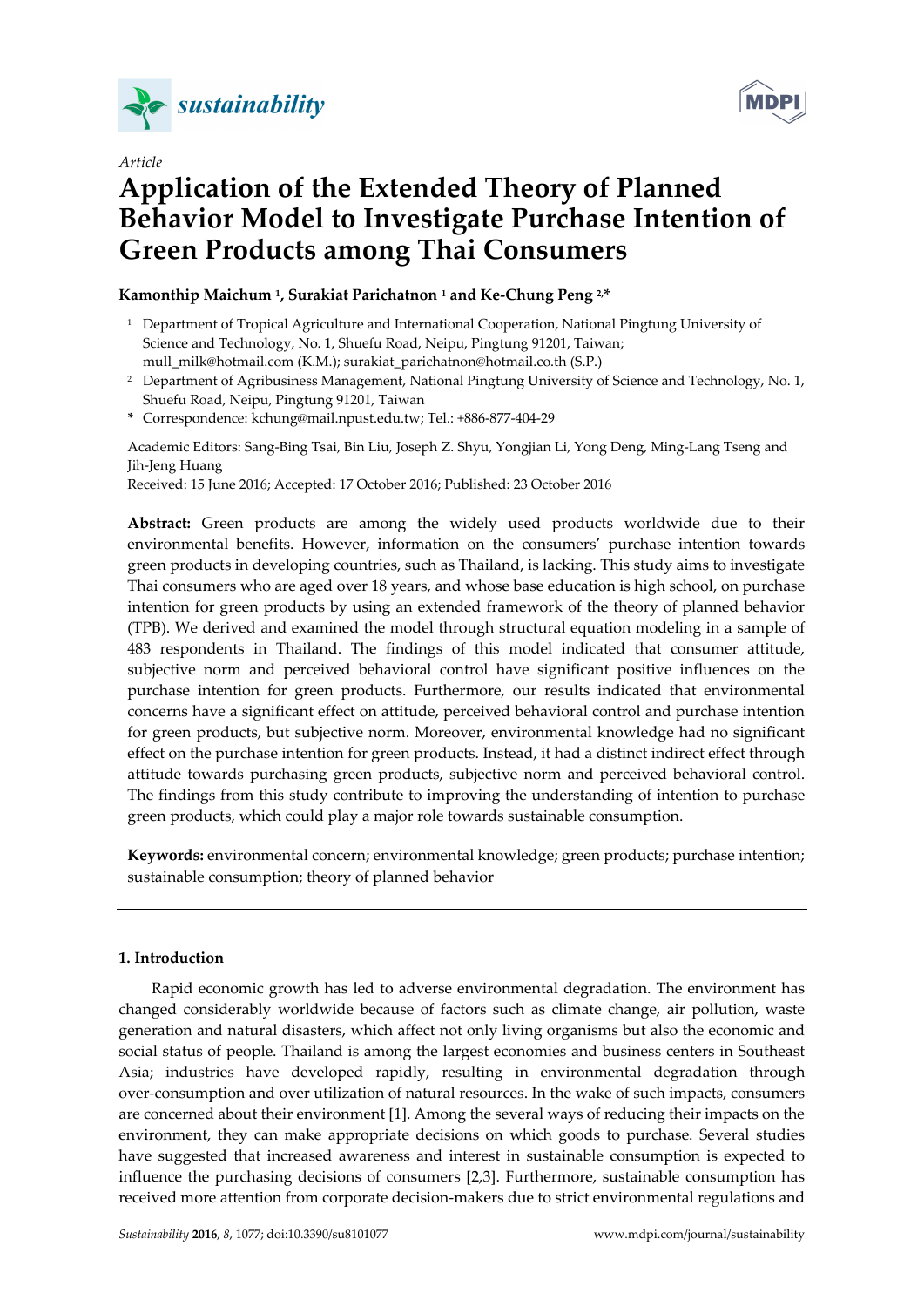

*Article* 



# **Application of the Extended Theory of Planned Behavior Model to Investigate Purchase Intention of Green Products among Thai Consumers**

# **Kamonthip Maichum 1, Surakiat Parichatnon 1 and Ke-Chung Peng 2,\***

- <sup>1</sup> Department of Tropical Agriculture and International Cooperation, National Pingtung University of Science and Technology, No. 1, Shuefu Road, Neipu, Pingtung 91201, Taiwan; mull\_milk@hotmail.com (K.M.); surakiat\_parichatnon@hotmail.co.th (S.P.)
- <sup>2</sup> Department of Agribusiness Management, National Pingtung University of Science and Technology, No. 1, Shuefu Road, Neipu, Pingtung 91201, Taiwan
- **\*** Correspondence: kchung@mail.npust.edu.tw; Tel.: +886-877-404-29

Academic Editors: Sang-Bing Tsai, Bin Liu, Joseph Z. Shyu, Yongjian Li, Yong Deng, Ming-Lang Tseng and Jih-Jeng Huang

Received: 15 June 2016; Accepted: 17 October 2016; Published: 23 October 2016

**Abstract:** Green products are among the widely used products worldwide due to their environmental benefits. However, information on the consumers' purchase intention towards green products in developing countries, such as Thailand, is lacking. This study aims to investigate Thai consumers who are aged over 18 years, and whose base education is high school, on purchase intention for green products by using an extended framework of the theory of planned behavior (TPB). We derived and examined the model through structural equation modeling in a sample of 483 respondents in Thailand. The findings of this model indicated that consumer attitude, subjective norm and perceived behavioral control have significant positive influences on the purchase intention for green products. Furthermore, our results indicated that environmental concerns have a significant effect on attitude, perceived behavioral control and purchase intention for green products, but subjective norm. Moreover, environmental knowledge had no significant effect on the purchase intention for green products. Instead, it had a distinct indirect effect through attitude towards purchasing green products, subjective norm and perceived behavioral control. The findings from this study contribute to improving the understanding of intention to purchase green products, which could play a major role towards sustainable consumption.

**Keywords:** environmental concern; environmental knowledge; green products; purchase intention; sustainable consumption; theory of planned behavior

# **1. Introduction**

Rapid economic growth has led to adverse environmental degradation. The environment has changed considerably worldwide because of factors such as climate change, air pollution, waste generation and natural disasters, which affect not only living organisms but also the economic and social status of people. Thailand is among the largest economies and business centers in Southeast Asia; industries have developed rapidly, resulting in environmental degradation through over-consumption and over utilization of natural resources. In the wake of such impacts, consumers are concerned about their environment [1]. Among the several ways of reducing their impacts on the environment, they can make appropriate decisions on which goods to purchase. Several studies have suggested that increased awareness and interest in sustainable consumption is expected to influence the purchasing decisions of consumers [2,3]. Furthermore, sustainable consumption has received more attention from corporate decision-makers due to strict environmental regulations and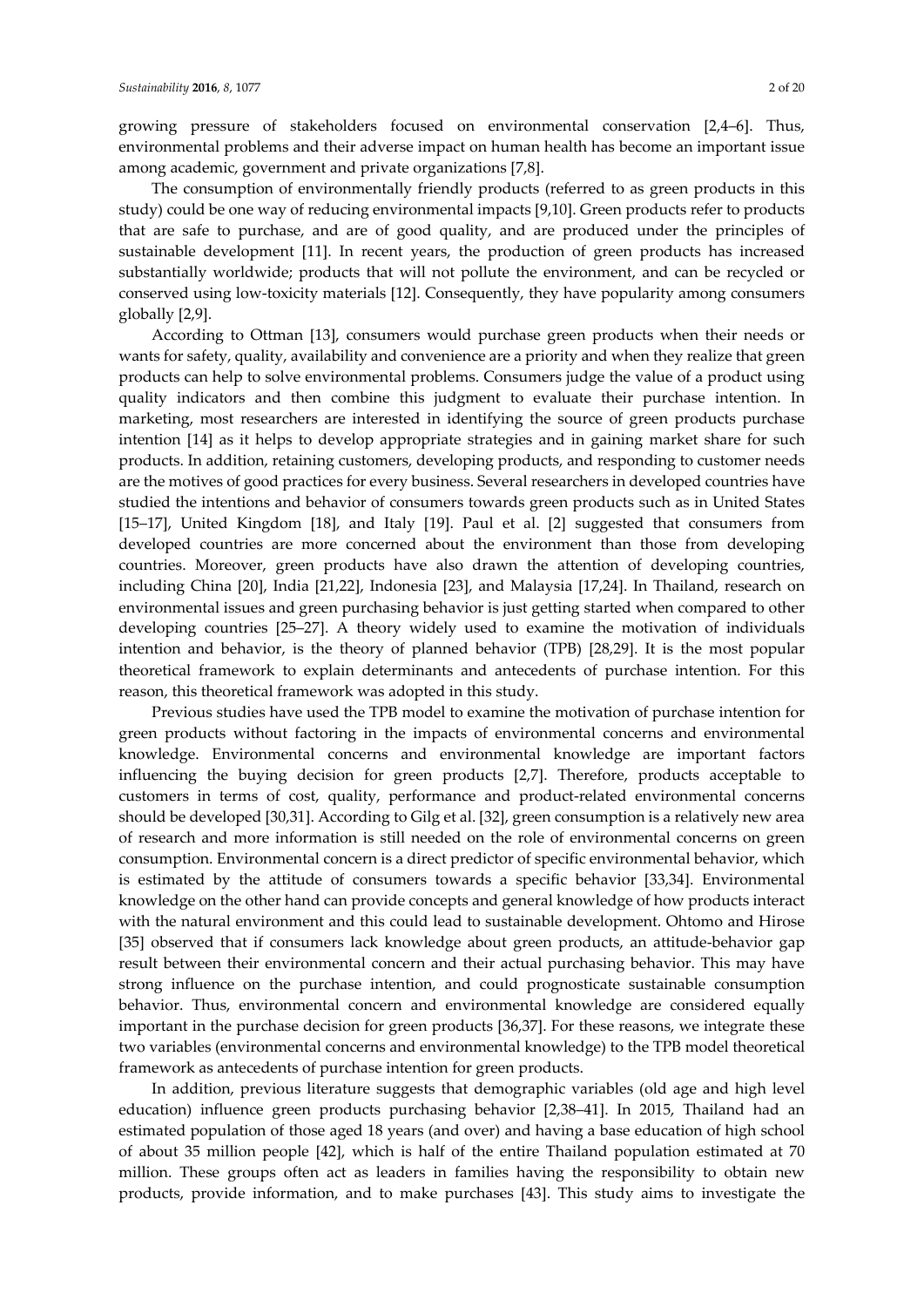growing pressure of stakeholders focused on environmental conservation [2,4–6]. Thus, environmental problems and their adverse impact on human health has become an important issue among academic, government and private organizations [7,8].

The consumption of environmentally friendly products (referred to as green products in this study) could be one way of reducing environmental impacts [9,10]. Green products refer to products that are safe to purchase, and are of good quality, and are produced under the principles of sustainable development [11]. In recent years, the production of green products has increased substantially worldwide; products that will not pollute the environment, and can be recycled or conserved using low-toxicity materials [12]. Consequently, they have popularity among consumers globally [2,9].

According to Ottman [13], consumers would purchase green products when their needs or wants for safety, quality, availability and convenience are a priority and when they realize that green products can help to solve environmental problems. Consumers judge the value of a product using quality indicators and then combine this judgment to evaluate their purchase intention. In marketing, most researchers are interested in identifying the source of green products purchase intention [14] as it helps to develop appropriate strategies and in gaining market share for such products. In addition, retaining customers, developing products, and responding to customer needs are the motives of good practices for every business. Several researchers in developed countries have studied the intentions and behavior of consumers towards green products such as in United States [15–17], United Kingdom [18], and Italy [19]. Paul et al. [2] suggested that consumers from developed countries are more concerned about the environment than those from developing countries. Moreover, green products have also drawn the attention of developing countries, including China [20], India [21,22], Indonesia [23], and Malaysia [17,24]. In Thailand, research on environmental issues and green purchasing behavior is just getting started when compared to other developing countries [25–27]. A theory widely used to examine the motivation of individuals intention and behavior, is the theory of planned behavior (TPB) [28,29]. It is the most popular theoretical framework to explain determinants and antecedents of purchase intention. For this reason, this theoretical framework was adopted in this study.

Previous studies have used the TPB model to examine the motivation of purchase intention for green products without factoring in the impacts of environmental concerns and environmental knowledge. Environmental concerns and environmental knowledge are important factors influencing the buying decision for green products [2,7]. Therefore, products acceptable to customers in terms of cost, quality, performance and product-related environmental concerns should be developed [30,31]. According to Gilg et al. [32], green consumption is a relatively new area of research and more information is still needed on the role of environmental concerns on green consumption. Environmental concern is a direct predictor of specific environmental behavior, which is estimated by the attitude of consumers towards a specific behavior [33,34]. Environmental knowledge on the other hand can provide concepts and general knowledge of how products interact with the natural environment and this could lead to sustainable development. Ohtomo and Hirose [35] observed that if consumers lack knowledge about green products, an attitude-behavior gap result between their environmental concern and their actual purchasing behavior. This may have strong influence on the purchase intention, and could prognosticate sustainable consumption behavior. Thus, environmental concern and environmental knowledge are considered equally important in the purchase decision for green products [36,37]. For these reasons, we integrate these two variables (environmental concerns and environmental knowledge) to the TPB model theoretical framework as antecedents of purchase intention for green products.

In addition, previous literature suggests that demographic variables (old age and high level education) influence green products purchasing behavior [2,38–41]. In 2015, Thailand had an estimated population of those aged 18 years (and over) and having a base education of high school of about 35 million people [42], which is half of the entire Thailand population estimated at 70 million. These groups often act as leaders in families having the responsibility to obtain new products, provide information, and to make purchases [43]. This study aims to investigate the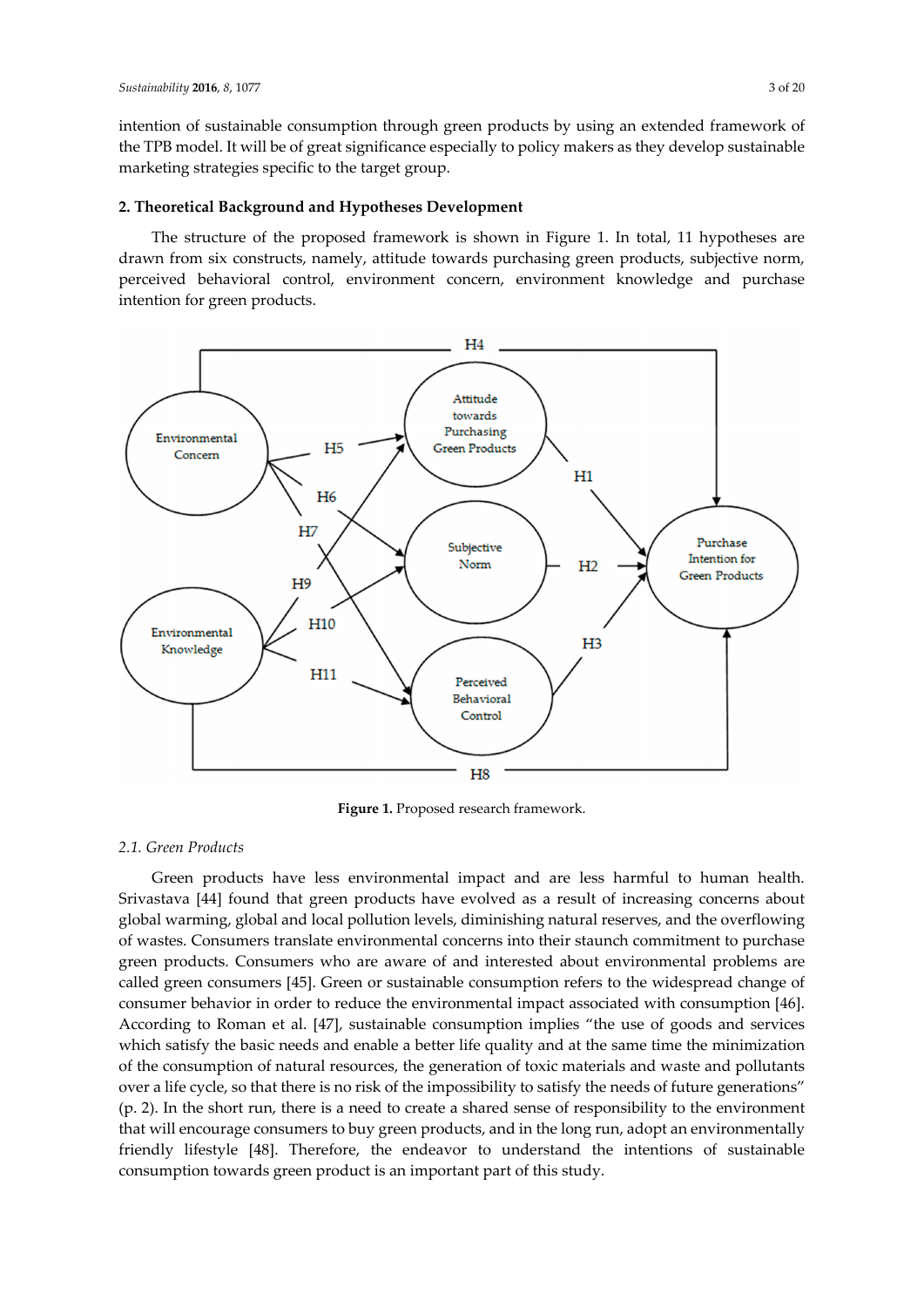intention of sustainable consumption through green products by using an extended framework of the TPB model. It will be of great significance especially to policy makers as they develop sustainable marketing strategies specific to the target group.

## **2. Theoretical Background and Hypotheses Development**

The structure of the proposed framework is shown in Figure 1. In total, 11 hypotheses are drawn from six constructs, namely, attitude towards purchasing green products, subjective norm, perceived behavioral control, environment concern, environment knowledge and purchase intention for green products.



**Figure 1.** Proposed research framework.

## *2.1. Green Products*

Green products have less environmental impact and are less harmful to human health. Srivastava [44] found that green products have evolved as a result of increasing concerns about global warming, global and local pollution levels, diminishing natural reserves, and the overflowing of wastes. Consumers translate environmental concerns into their staunch commitment to purchase green products. Consumers who are aware of and interested about environmental problems are called green consumers [45]. Green or sustainable consumption refers to the widespread change of consumer behavior in order to reduce the environmental impact associated with consumption [46]. According to Roman et al. [47], sustainable consumption implies "the use of goods and services which satisfy the basic needs and enable a better life quality and at the same time the minimization of the consumption of natural resources, the generation of toxic materials and waste and pollutants over a life cycle, so that there is no risk of the impossibility to satisfy the needs of future generations" (p. 2). In the short run, there is a need to create a shared sense of responsibility to the environment that will encourage consumers to buy green products, and in the long run, adopt an environmentally friendly lifestyle [48]. Therefore, the endeavor to understand the intentions of sustainable consumption towards green product is an important part of this study.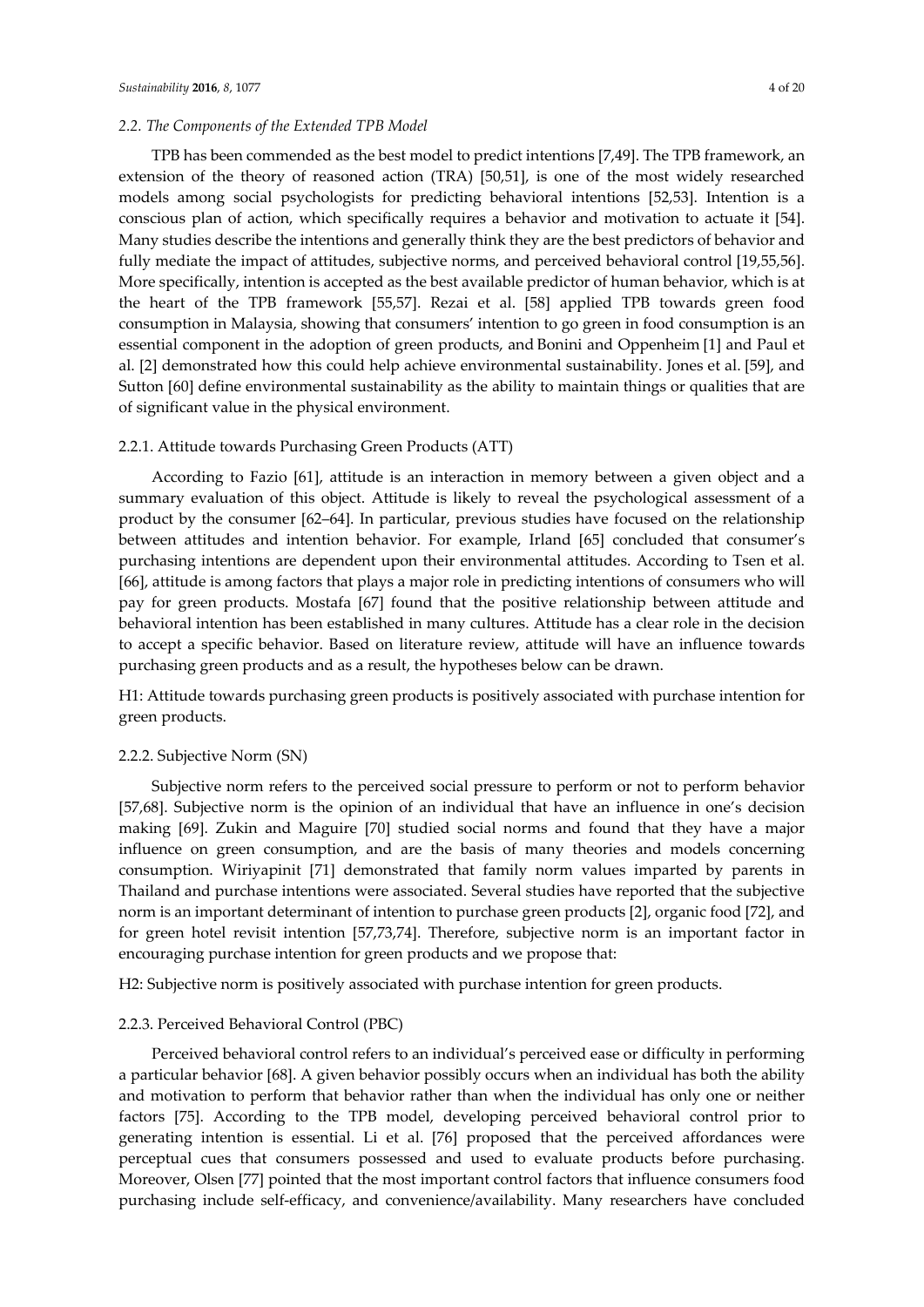TPB has been commended as the best model to predict intentions [7,49]. The TPB framework, an extension of the theory of reasoned action (TRA) [50,51], is one of the most widely researched models among social psychologists for predicting behavioral intentions [52,53]. Intention is a conscious plan of action, which specifically requires a behavior and motivation to actuate it [54]. Many studies describe the intentions and generally think they are the best predictors of behavior and fully mediate the impact of attitudes, subjective norms, and perceived behavioral control [19,55,56]. More specifically, intention is accepted as the best available predictor of human behavior, which is at the heart of the TPB framework [55,57]. Rezai et al. [58] applied TPB towards green food consumption in Malaysia, showing that consumers' intention to go green in food consumption is an essential component in the adoption of green products, and Bonini and Oppenheim [1] and Paul et al. [2] demonstrated how this could help achieve environmental sustainability. Jones et al. [59], and Sutton [60] define environmental sustainability as the ability to maintain things or qualities that are of significant value in the physical environment.

## 2.2.1. Attitude towards Purchasing Green Products (ATT)

According to Fazio [61], attitude is an interaction in memory between a given object and a summary evaluation of this object. Attitude is likely to reveal the psychological assessment of a product by the consumer [62–64]. In particular, previous studies have focused on the relationship between attitudes and intention behavior. For example, Irland [65] concluded that consumer's purchasing intentions are dependent upon their environmental attitudes. According to Tsen et al. [66], attitude is among factors that plays a major role in predicting intentions of consumers who will pay for green products. Mostafa [67] found that the positive relationship between attitude and behavioral intention has been established in many cultures. Attitude has a clear role in the decision to accept a specific behavior. Based on literature review, attitude will have an influence towards purchasing green products and as a result, the hypotheses below can be drawn.

H1: Attitude towards purchasing green products is positively associated with purchase intention for green products.

#### 2.2.2. Subjective Norm (SN)

Subjective norm refers to the perceived social pressure to perform or not to perform behavior [57,68]. Subjective norm is the opinion of an individual that have an influence in one's decision making [69]. Zukin and Maguire [70] studied social norms and found that they have a major influence on green consumption, and are the basis of many theories and models concerning consumption. Wiriyapinit [71] demonstrated that family norm values imparted by parents in Thailand and purchase intentions were associated. Several studies have reported that the subjective norm is an important determinant of intention to purchase green products [2], organic food [72], and for green hotel revisit intention [57,73,74]. Therefore, subjective norm is an important factor in encouraging purchase intention for green products and we propose that:

H2: Subjective norm is positively associated with purchase intention for green products.

#### 2.2.3. Perceived Behavioral Control (PBC)

Perceived behavioral control refers to an individual's perceived ease or difficulty in performing a particular behavior [68]. A given behavior possibly occurs when an individual has both the ability and motivation to perform that behavior rather than when the individual has only one or neither factors [75]. According to the TPB model, developing perceived behavioral control prior to generating intention is essential. Li et al. [76] proposed that the perceived affordances were perceptual cues that consumers possessed and used to evaluate products before purchasing. Moreover, Olsen [77] pointed that the most important control factors that influence consumers food purchasing include self-efficacy, and convenience/availability. Many researchers have concluded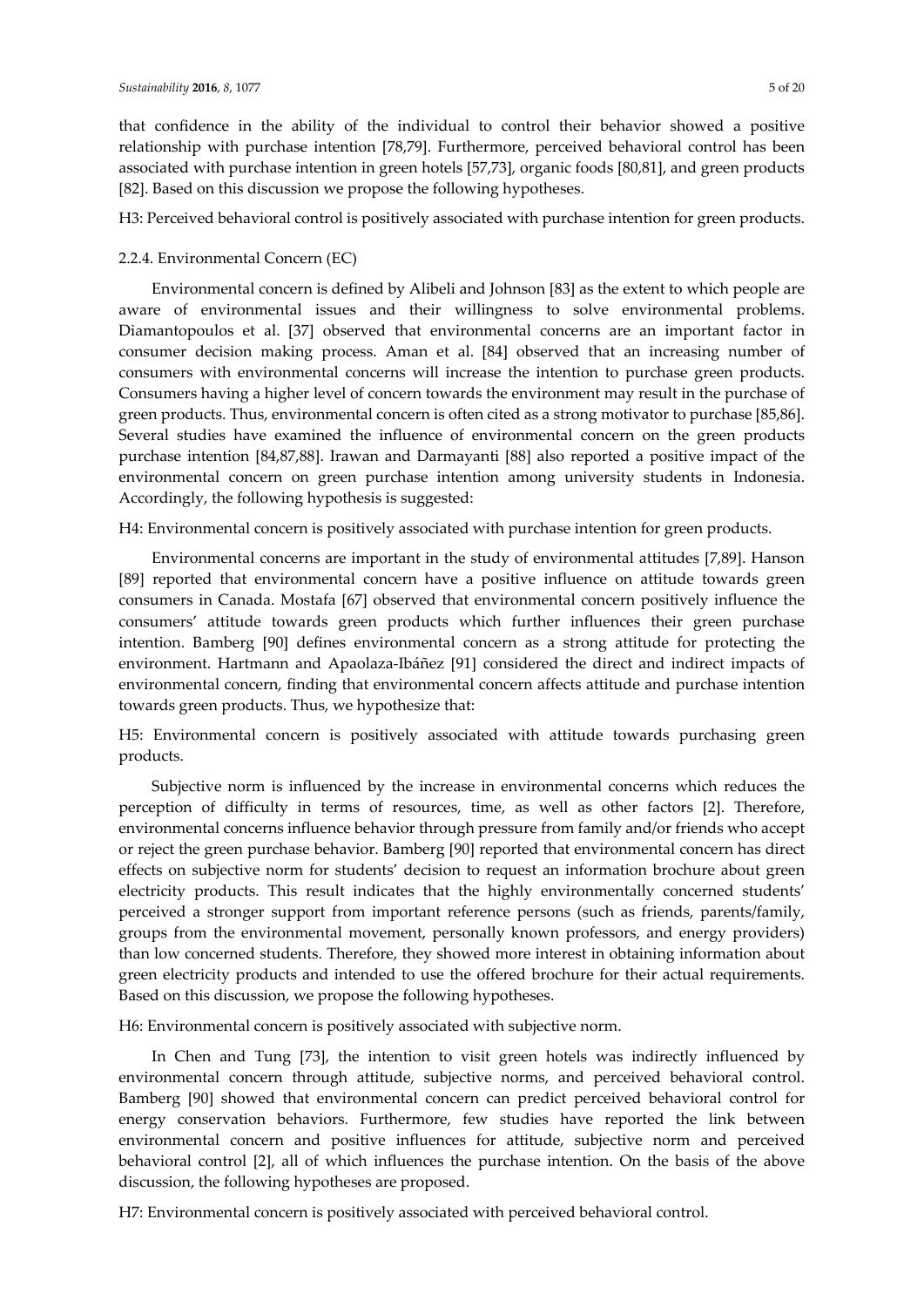that confidence in the ability of the individual to control their behavior showed a positive relationship with purchase intention [78,79]. Furthermore, perceived behavioral control has been associated with purchase intention in green hotels [57,73], organic foods [80,81], and green products [82]. Based on this discussion we propose the following hypotheses.

H3: Perceived behavioral control is positively associated with purchase intention for green products.

## 2.2.4. Environmental Concern (EC)

Environmental concern is defined by Alibeli and Johnson [83] as the extent to which people are aware of environmental issues and their willingness to solve environmental problems. Diamantopoulos et al. [37] observed that environmental concerns are an important factor in consumer decision making process. Aman et al. [84] observed that an increasing number of consumers with environmental concerns will increase the intention to purchase green products. Consumers having a higher level of concern towards the environment may result in the purchase of green products. Thus, environmental concern is often cited as a strong motivator to purchase [85,86]. Several studies have examined the influence of environmental concern on the green products purchase intention [84,87,88]. Irawan and Darmayanti [88] also reported a positive impact of the environmental concern on green purchase intention among university students in Indonesia. Accordingly, the following hypothesis is suggested:

H4: Environmental concern is positively associated with purchase intention for green products.

Environmental concerns are important in the study of environmental attitudes [7,89]. Hanson [89] reported that environmental concern have a positive influence on attitude towards green consumers in Canada. Mostafa [67] observed that environmental concern positively influence the consumers' attitude towards green products which further influences their green purchase intention. Bamberg [90] defines environmental concern as a strong attitude for protecting the environment. Hartmann and Apaolaza-Ibáñez [91] considered the direct and indirect impacts of environmental concern, finding that environmental concern affects attitude and purchase intention towards green products. Thus, we hypothesize that:

H5: Environmental concern is positively associated with attitude towards purchasing green products.

Subjective norm is influenced by the increase in environmental concerns which reduces the perception of difficulty in terms of resources, time, as well as other factors [2]. Therefore, environmental concerns influence behavior through pressure from family and/or friends who accept or reject the green purchase behavior. Bamberg [90] reported that environmental concern has direct effects on subjective norm for students' decision to request an information brochure about green electricity products. This result indicates that the highly environmentally concerned students' perceived a stronger support from important reference persons (such as friends, parents/family, groups from the environmental movement, personally known professors, and energy providers) than low concerned students. Therefore, they showed more interest in obtaining information about green electricity products and intended to use the offered brochure for their actual requirements. Based on this discussion, we propose the following hypotheses.

H6: Environmental concern is positively associated with subjective norm.

In Chen and Tung [73], the intention to visit green hotels was indirectly influenced by environmental concern through attitude, subjective norms, and perceived behavioral control. Bamberg [90] showed that environmental concern can predict perceived behavioral control for energy conservation behaviors. Furthermore, few studies have reported the link between environmental concern and positive influences for attitude, subjective norm and perceived behavioral control [2], all of which influences the purchase intention. On the basis of the above discussion, the following hypotheses are proposed.

H7: Environmental concern is positively associated with perceived behavioral control.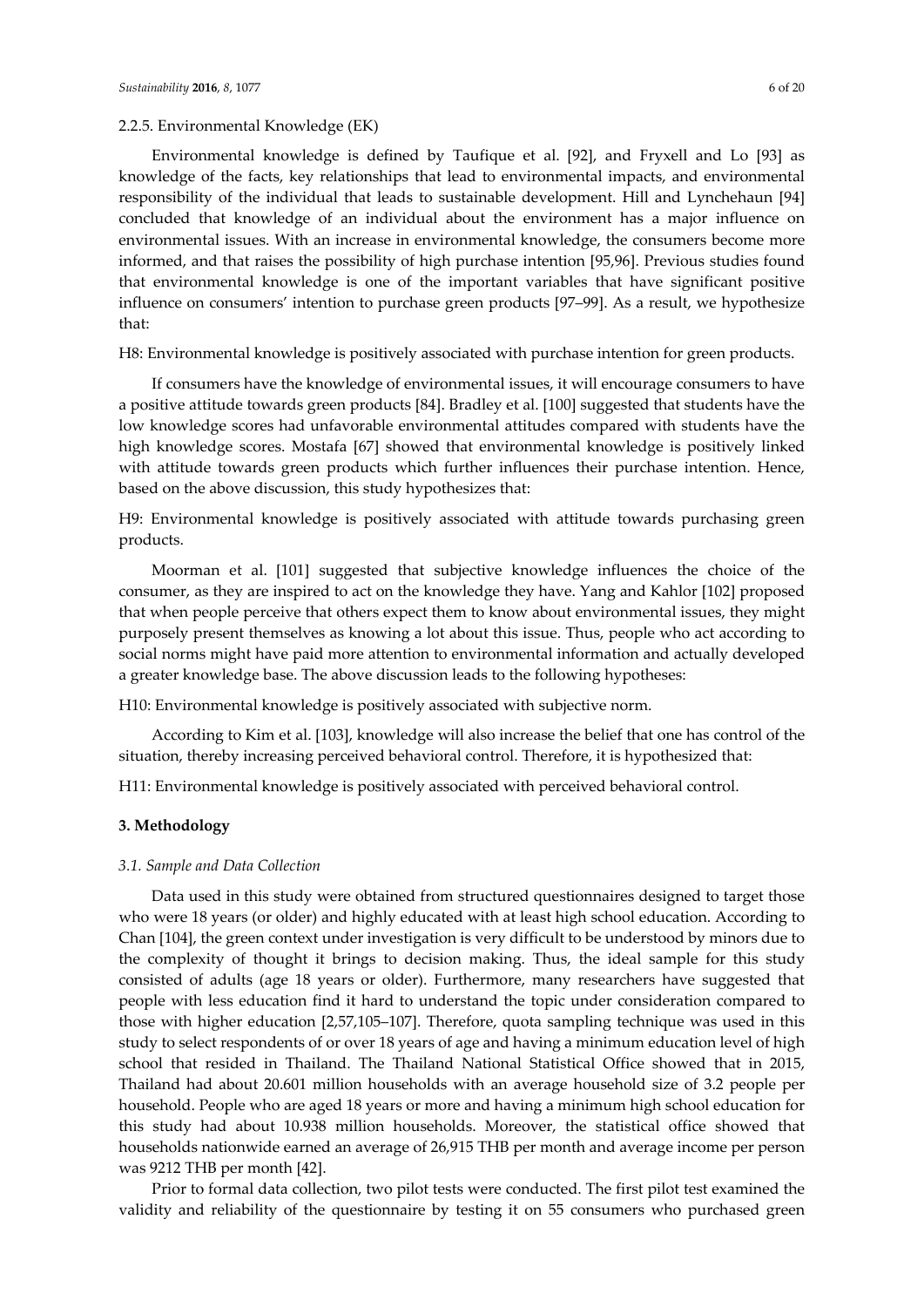## 2.2.5. Environmental Knowledge (EK)

Environmental knowledge is defined by Taufique et al. [92], and Fryxell and Lo [93] as knowledge of the facts, key relationships that lead to environmental impacts, and environmental responsibility of the individual that leads to sustainable development. Hill and Lynchehaun [94] concluded that knowledge of an individual about the environment has a major influence on environmental issues. With an increase in environmental knowledge, the consumers become more informed, and that raises the possibility of high purchase intention [95,96]. Previous studies found that environmental knowledge is one of the important variables that have significant positive influence on consumers' intention to purchase green products [97–99]. As a result, we hypothesize that:

H8: Environmental knowledge is positively associated with purchase intention for green products.

If consumers have the knowledge of environmental issues, it will encourage consumers to have a positive attitude towards green products [84]. Bradley et al. [100] suggested that students have the low knowledge scores had unfavorable environmental attitudes compared with students have the high knowledge scores. Mostafa [67] showed that environmental knowledge is positively linked with attitude towards green products which further influences their purchase intention. Hence, based on the above discussion, this study hypothesizes that:

H9: Environmental knowledge is positively associated with attitude towards purchasing green products.

Moorman et al. [101] suggested that subjective knowledge influences the choice of the consumer, as they are inspired to act on the knowledge they have. Yang and Kahlor [102] proposed that when people perceive that others expect them to know about environmental issues, they might purposely present themselves as knowing a lot about this issue. Thus, people who act according to social norms might have paid more attention to environmental information and actually developed a greater knowledge base. The above discussion leads to the following hypotheses:

H10: Environmental knowledge is positively associated with subjective norm.

According to Kim et al. [103], knowledge will also increase the belief that one has control of the situation, thereby increasing perceived behavioral control. Therefore, it is hypothesized that:

H11: Environmental knowledge is positively associated with perceived behavioral control.

## **3. Methodology**

#### *3.1. Sample and Data Collection*

Data used in this study were obtained from structured questionnaires designed to target those who were 18 years (or older) and highly educated with at least high school education. According to Chan [104], the green context under investigation is very difficult to be understood by minors due to the complexity of thought it brings to decision making. Thus, the ideal sample for this study consisted of adults (age 18 years or older). Furthermore, many researchers have suggested that people with less education find it hard to understand the topic under consideration compared to those with higher education [2,57,105–107]. Therefore, quota sampling technique was used in this study to select respondents of or over 18 years of age and having a minimum education level of high school that resided in Thailand. The Thailand National Statistical Office showed that in 2015, Thailand had about 20.601 million households with an average household size of 3.2 people per household. People who are aged 18 years or more and having a minimum high school education for this study had about 10.938 million households. Moreover, the statistical office showed that households nationwide earned an average of 26,915 THB per month and average income per person was 9212 THB per month [42].

Prior to formal data collection, two pilot tests were conducted. The first pilot test examined the validity and reliability of the questionnaire by testing it on 55 consumers who purchased green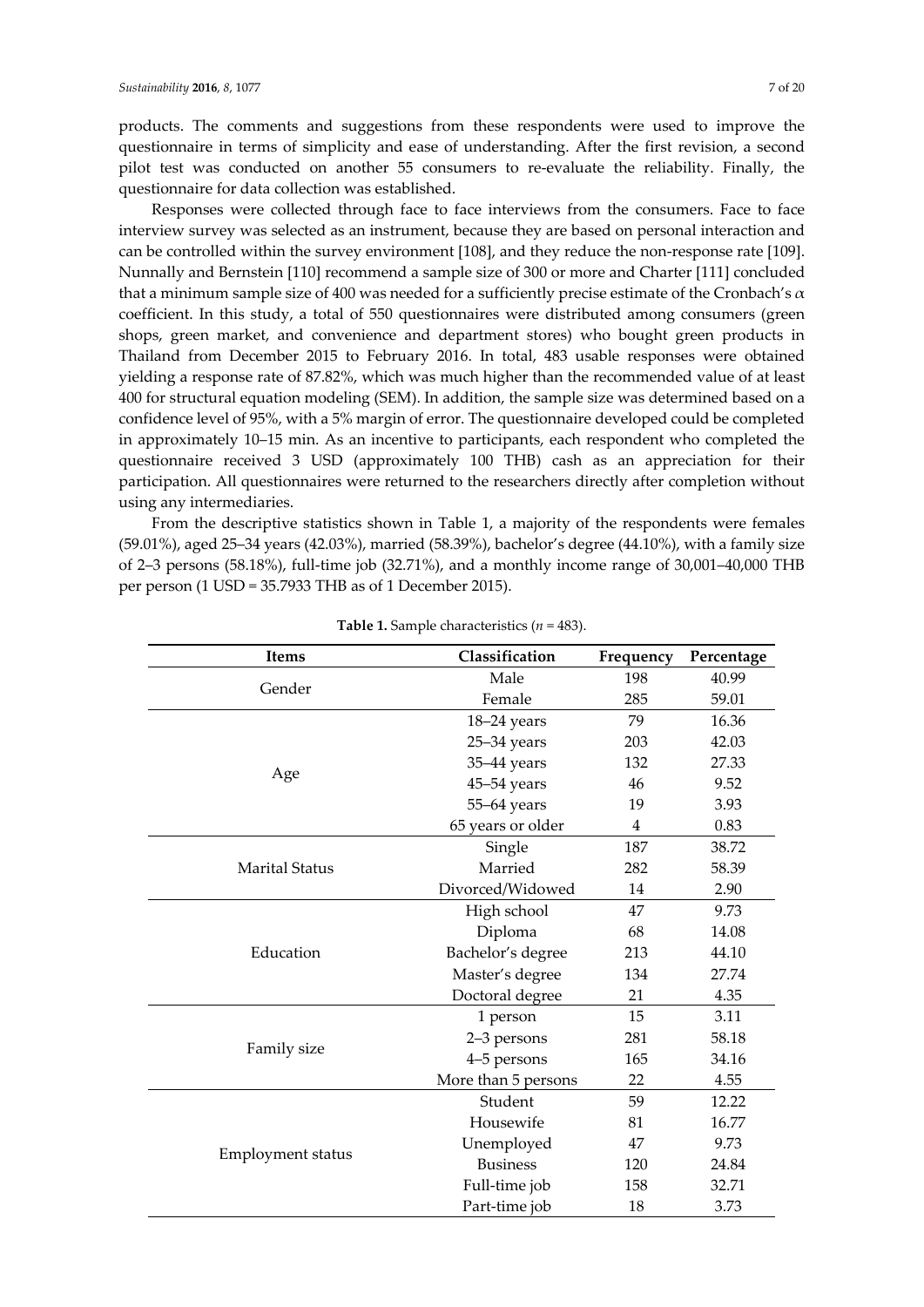products. The comments and suggestions from these respondents were used to improve the questionnaire in terms of simplicity and ease of understanding. After the first revision, a second pilot test was conducted on another 55 consumers to re-evaluate the reliability. Finally, the questionnaire for data collection was established.

Responses were collected through face to face interviews from the consumers. Face to face interview survey was selected as an instrument, because they are based on personal interaction and can be controlled within the survey environment [108], and they reduce the non-response rate [109]. Nunnally and Bernstein [110] recommend a sample size of 300 or more and Charter [111] concluded that a minimum sample size of 400 was needed for a sufficiently precise estimate of the Cronbach's  $\alpha$ coefficient. In this study, a total of 550 questionnaires were distributed among consumers (green shops, green market, and convenience and department stores) who bought green products in Thailand from December 2015 to February 2016. In total, 483 usable responses were obtained yielding a response rate of 87.82%, which was much higher than the recommended value of at least 400 for structural equation modeling (SEM). In addition, the sample size was determined based on a confidence level of 95%, with a 5% margin of error. The questionnaire developed could be completed in approximately 10–15 min. As an incentive to participants, each respondent who completed the questionnaire received 3 USD (approximately 100 THB) cash as an appreciation for their participation. All questionnaires were returned to the researchers directly after completion without using any intermediaries.

From the descriptive statistics shown in Table 1, a majority of the respondents were females (59.01%), aged 25–34 years (42.03%), married (58.39%), bachelor's degree (44.10%), with a family size of 2–3 persons (58.18%), full-time job (32.71%), and a monthly income range of 30,001–40,000 THB per person (1 USD = 35.7933 THB as of 1 December 2015).

| <b>Items</b>             | Classification      | Frequency | Percentage |
|--------------------------|---------------------|-----------|------------|
| Gender                   | Male                | 198       | 40.99      |
|                          | Female              | 285       | 59.01      |
|                          | 18-24 years         | 79        | 16.36      |
|                          | $25 - 34$ years     | 203       | 42.03      |
|                          | 35-44 years         | 132       | 27.33      |
| Age                      | $45 - 54$ years     | 46        | 9.52       |
|                          | 55-64 years         | 19        | 3.93       |
|                          | 65 years or older   | 4         | 0.83       |
|                          | Single              | 187       | 38.72      |
| <b>Marital Status</b>    | Married             | 282       | 58.39      |
|                          | Divorced/Widowed    | 14        | 2.90       |
|                          | High school         | 47        | 9.73       |
|                          | Diploma             | 68        | 14.08      |
| Education                | Bachelor's degree   | 213       | 44.10      |
|                          | Master's degree     | 134       | 27.74      |
|                          | Doctoral degree     | 21        | 4.35       |
|                          | 1 person            | 15        | 3.11       |
| Family size              | 2-3 persons         | 281       | 58.18      |
|                          | 4-5 persons         | 165       | 34.16      |
|                          | More than 5 persons | 22        | 4.55       |
|                          | Student             | 59        | 12.22      |
|                          | Housewife           | 81        | 16.77      |
|                          | Unemployed          | 47        | 9.73       |
| <b>Employment status</b> | <b>Business</b>     | 120       | 24.84      |
|                          | Full-time job       | 158       | 32.71      |
|                          | Part-time job       | 18        | 3.73       |

**Table 1.** Sample characteristics (*n* = 483).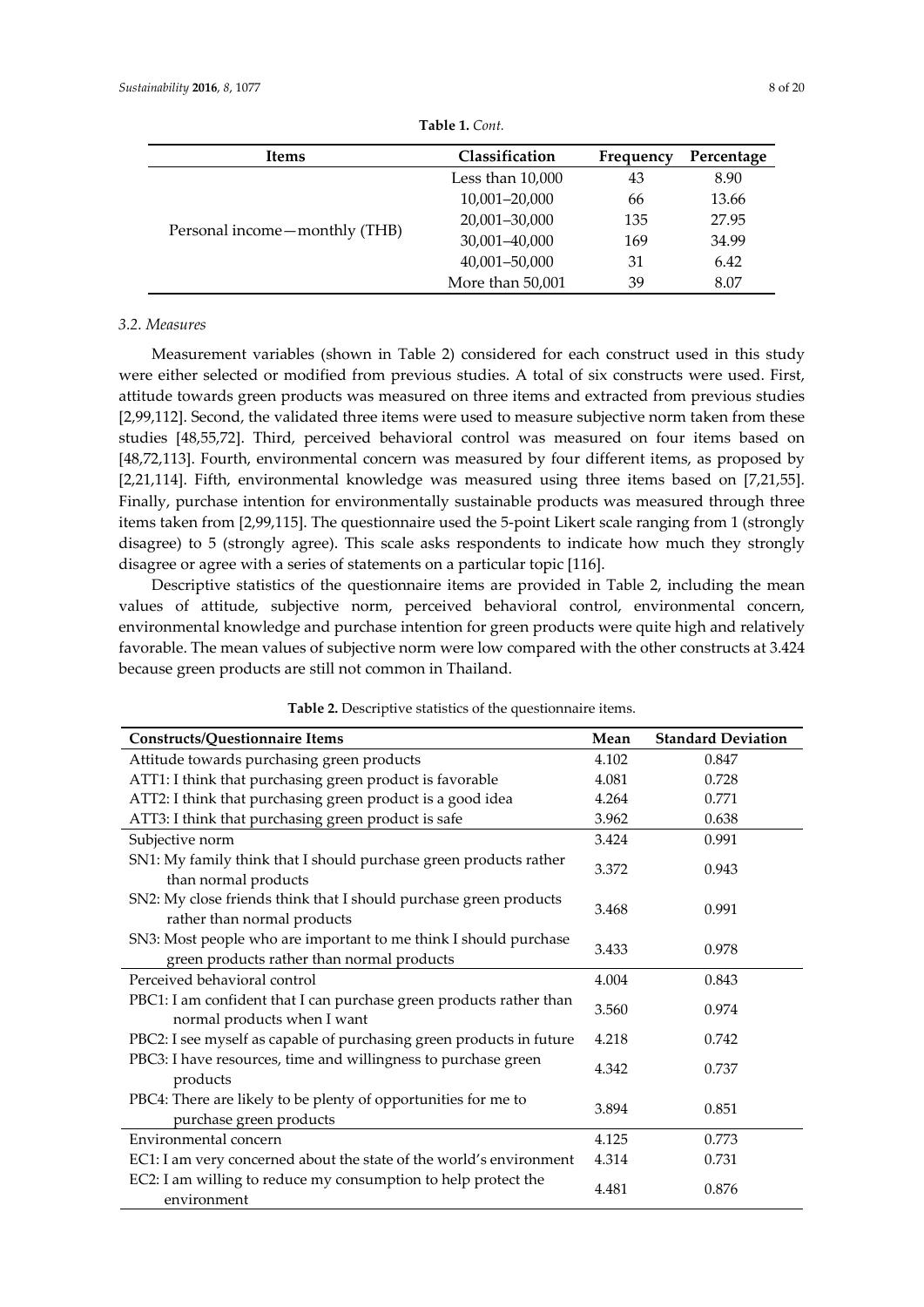| Items                         | Classification     | Frequency | Percentage |  |
|-------------------------------|--------------------|-----------|------------|--|
|                               | Less than $10,000$ | 43        | 8.90       |  |
|                               | 10,001-20,000      | 66        | 13.66      |  |
|                               | 20,001-30,000      | 135       | 27.95      |  |
| Personal income-monthly (THB) | 30,001-40,000      | 169       | 34.99      |  |
|                               | 40,001-50,000      | 31        | 6.42       |  |
|                               | More than 50,001   | 39        | 8.07       |  |

**Table 1.** *Cont.* 

#### *3.2. Measures*

Measurement variables (shown in Table 2) considered for each construct used in this study were either selected or modified from previous studies. A total of six constructs were used. First, attitude towards green products was measured on three items and extracted from previous studies [2,99,112]. Second, the validated three items were used to measure subjective norm taken from these studies [48,55,72]. Third, perceived behavioral control was measured on four items based on [48,72,113]. Fourth, environmental concern was measured by four different items, as proposed by [2,21,114]. Fifth, environmental knowledge was measured using three items based on [7,21,55]. Finally, purchase intention for environmentally sustainable products was measured through three items taken from [2,99,115]. The questionnaire used the 5-point Likert scale ranging from 1 (strongly disagree) to 5 (strongly agree). This scale asks respondents to indicate how much they strongly disagree or agree with a series of statements on a particular topic [116].

Descriptive statistics of the questionnaire items are provided in Table 2, including the mean values of attitude, subjective norm, perceived behavioral control, environmental concern, environmental knowledge and purchase intention for green products were quite high and relatively favorable. The mean values of subjective norm were low compared with the other constructs at 3.424 because green products are still not common in Thailand.

| <b>Constructs/Questionnaire Items</b>                                                                          | Mean  | <b>Standard Deviation</b> |
|----------------------------------------------------------------------------------------------------------------|-------|---------------------------|
| Attitude towards purchasing green products                                                                     | 4.102 | 0.847                     |
| ATT1: I think that purchasing green product is favorable                                                       | 4.081 | 0.728                     |
| ATT2: I think that purchasing green product is a good idea                                                     | 4.264 | 0.771                     |
| ATT3: I think that purchasing green product is safe                                                            | 3.962 | 0.638                     |
| Subjective norm                                                                                                | 3.424 | 0.991                     |
| SN1: My family think that I should purchase green products rather<br>than normal products                      | 3.372 | 0.943                     |
| SN2: My close friends think that I should purchase green products<br>rather than normal products               | 3.468 | 0.991                     |
| SN3: Most people who are important to me think I should purchase<br>green products rather than normal products | 3.433 | 0.978                     |
| Perceived behavioral control                                                                                   | 4.004 | 0.843                     |
| PBC1: I am confident that I can purchase green products rather than<br>normal products when I want             | 3.560 | 0.974                     |
| PBC2: I see myself as capable of purchasing green products in future                                           | 4.218 | 0.742                     |
| PBC3: I have resources, time and willingness to purchase green<br>products                                     | 4.342 | 0.737                     |
| PBC4: There are likely to be plenty of opportunities for me to<br>purchase green products                      | 3.894 | 0.851                     |
| Environmental concern                                                                                          | 4.125 | 0.773                     |
| EC1: I am very concerned about the state of the world's environment                                            | 4.314 | 0.731                     |
| EC2: I am willing to reduce my consumption to help protect the<br>environment                                  | 4.481 | 0.876                     |

**Table 2.** Descriptive statistics of the questionnaire items.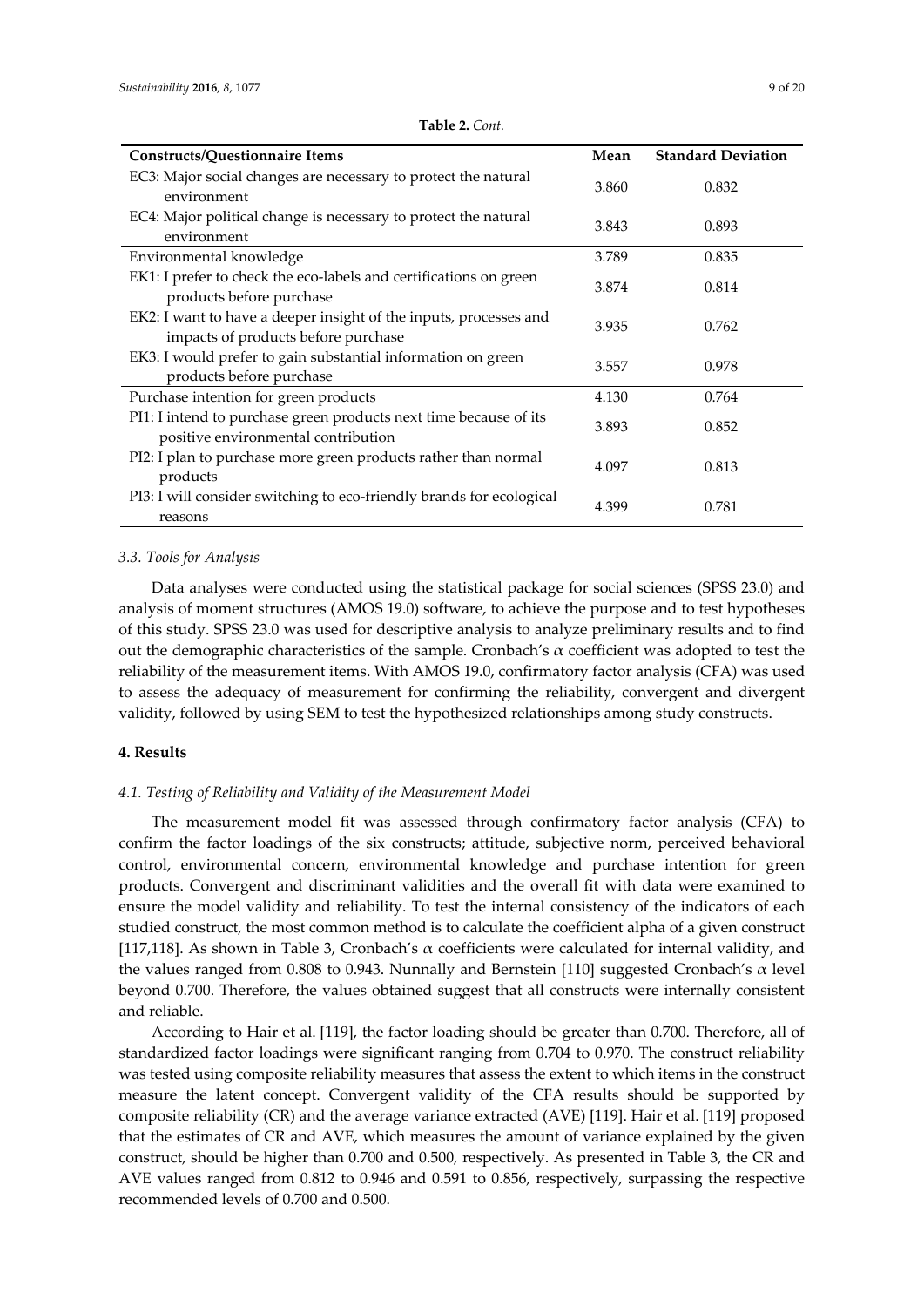**Constructs/Questionnaire Items** 

| 'ont.   |       |                           |
|---------|-------|---------------------------|
|         | Mean  | <b>Standard Deviation</b> |
| natural | 3.860 | 0.832                     |
| natural |       |                           |

**Table 2.** *Co* 

| EC3: Major social changes are necessary to protect the natural<br>environment                            | 3.860 | 0.832 |
|----------------------------------------------------------------------------------------------------------|-------|-------|
| EC4: Major political change is necessary to protect the natural<br>environment                           | 3.843 | 0.893 |
| Environmental knowledge                                                                                  | 3.789 | 0.835 |
| EK1: I prefer to check the eco-labels and certifications on green<br>products before purchase            | 3.874 | 0.814 |
| EK2: I want to have a deeper insight of the inputs, processes and<br>impacts of products before purchase | 3.935 | 0.762 |
| EK3: I would prefer to gain substantial information on green<br>products before purchase                 | 3.557 | 0.978 |
| Purchase intention for green products                                                                    | 4.130 | 0.764 |
| PI1: I intend to purchase green products next time because of its<br>positive environmental contribution | 3.893 | 0.852 |
| PI2: I plan to purchase more green products rather than normal<br>products                               | 4.097 | 0.813 |
| PI3: I will consider switching to eco-friendly brands for ecological<br>reasons                          | 4.399 | 0.781 |

## *3.3. Tools for Analysis*

Data analyses were conducted using the statistical package for social sciences (SPSS 23.0) and analysis of moment structures (AMOS 19.0) software, to achieve the purpose and to test hypotheses of this study. SPSS 23.0 was used for descriptive analysis to analyze preliminary results and to find out the demographic characteristics of the sample. Cronbach's  $\alpha$  coefficient was adopted to test the reliability of the measurement items. With AMOS 19.0, confirmatory factor analysis (CFA) was used to assess the adequacy of measurement for confirming the reliability, convergent and divergent validity, followed by using SEM to test the hypothesized relationships among study constructs.

## **4. Results**

## *4.1. Testing of Reliability and Validity of the Measurement Model*

The measurement model fit was assessed through confirmatory factor analysis (CFA) to confirm the factor loadings of the six constructs; attitude, subjective norm, perceived behavioral control, environmental concern, environmental knowledge and purchase intention for green products. Convergent and discriminant validities and the overall fit with data were examined to ensure the model validity and reliability. To test the internal consistency of the indicators of each studied construct, the most common method is to calculate the coefficient alpha of a given construct [117,118]. As shown in Table 3, Cronbach's  $\alpha$  coefficients were calculated for internal validity, and the values ranged from 0.808 to 0.943. Nunnally and Bernstein [110] suggested Cronbach's  $\alpha$  level beyond 0.700. Therefore, the values obtained suggest that all constructs were internally consistent and reliable.

According to Hair et al. [119], the factor loading should be greater than 0.700. Therefore, all of standardized factor loadings were significant ranging from 0.704 to 0.970. The construct reliability was tested using composite reliability measures that assess the extent to which items in the construct measure the latent concept. Convergent validity of the CFA results should be supported by composite reliability (CR) and the average variance extracted (AVE) [119]. Hair et al. [119] proposed that the estimates of CR and AVE, which measures the amount of variance explained by the given construct, should be higher than 0.700 and 0.500, respectively. As presented in Table 3, the CR and AVE values ranged from 0.812 to 0.946 and 0.591 to 0.856, respectively, surpassing the respective recommended levels of 0.700 and 0.500.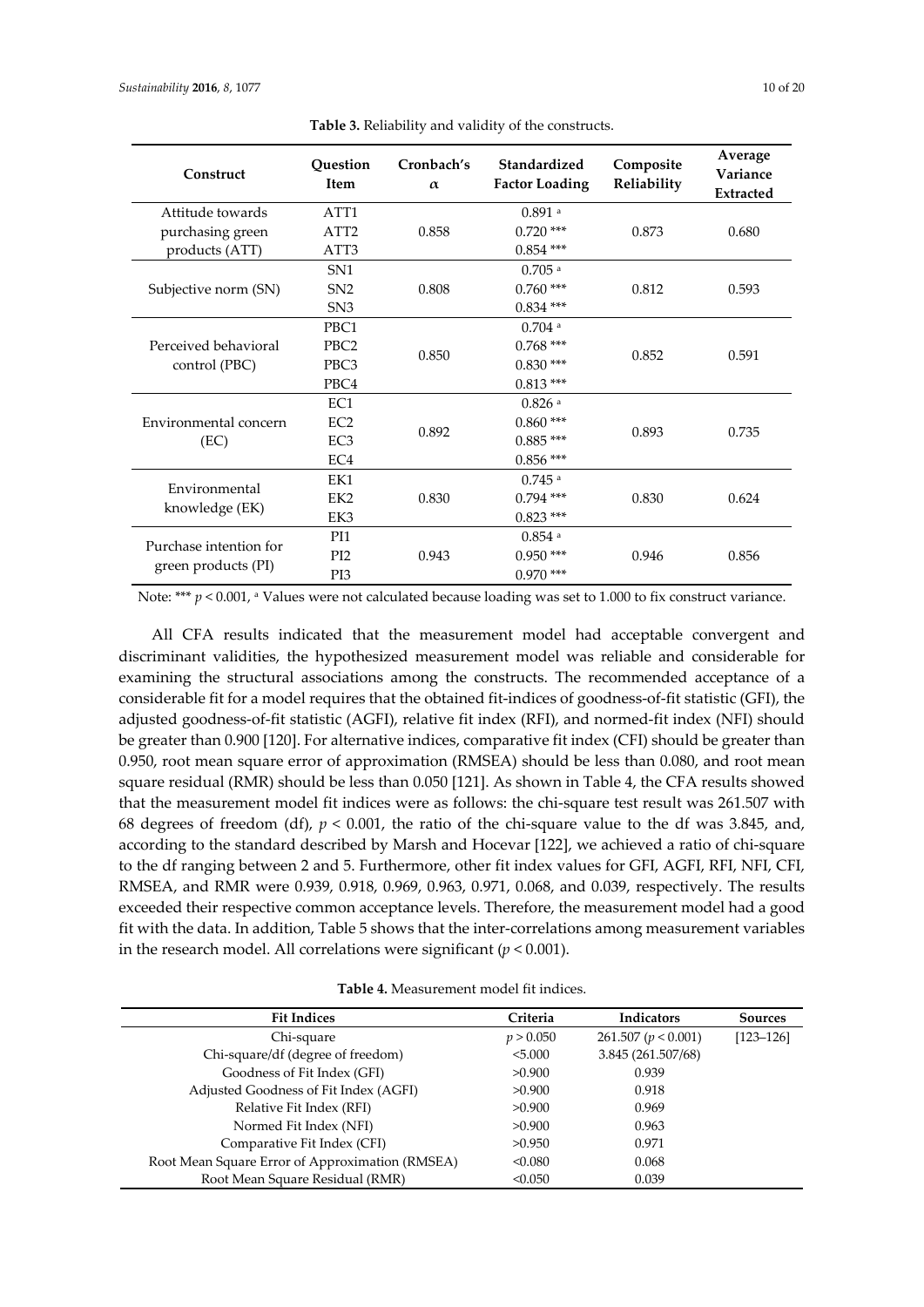| Construct              | Question<br>Cronbach's<br><b>Item</b><br>$\alpha$ |       | Standardized<br><b>Factor Loading</b> | Composite<br>Reliability | Average<br>Variance<br><b>Extracted</b> |  |
|------------------------|---------------------------------------------------|-------|---------------------------------------|--------------------------|-----------------------------------------|--|
| Attitude towards       | ATT <sub>1</sub>                                  |       | $0.891$ <sup>a</sup>                  |                          |                                         |  |
| purchasing green       | ATT <sub>2</sub>                                  | 0.858 | $0.720$ ***                           | 0.873                    | 0.680                                   |  |
| products (ATT)         | ATT3                                              |       | $0.854$ ***                           |                          |                                         |  |
|                        | SN <sub>1</sub>                                   |       | $0.705$ <sup>a</sup>                  |                          |                                         |  |
| Subjective norm (SN)   | SN <sub>2</sub>                                   | 0.808 | $0.760$ ***                           | 0.812                    | 0.593                                   |  |
|                        | SN <sub>3</sub>                                   |       | $0.834$ ***                           |                          |                                         |  |
|                        | PBC1                                              |       | $0.704$ <sup>a</sup>                  |                          |                                         |  |
| Perceived behavioral   | PBC <sub>2</sub>                                  | 0.850 | $0.768***$                            | 0.852                    | 0.591                                   |  |
| control (PBC)          | PBC <sub>3</sub>                                  |       | $0.830***$                            |                          |                                         |  |
|                        | PBC4                                              |       | $0.813***$                            |                          |                                         |  |
|                        | EC1                                               |       | $0.826$ <sup>a</sup>                  |                          |                                         |  |
| Environmental concern  | EC <sub>2</sub>                                   | 0.892 | $0.860$ ***                           | 0.893                    | 0.735                                   |  |
| (EC)                   | EC <sub>3</sub>                                   |       | $0.885***$                            |                          |                                         |  |
|                        | EC4                                               |       | $0.856$ ***                           |                          |                                         |  |
| Environmental          | EK1                                               |       | $0.745$ <sup>a</sup>                  |                          |                                         |  |
|                        | EK <sub>2</sub>                                   | 0.830 | $0.794$ ***                           | 0.830                    | 0.624                                   |  |
| knowledge (EK)         | EK3                                               |       | $0.823$ ***                           |                          |                                         |  |
| Purchase intention for | PI1                                               |       | $0.854$ <sup>a</sup>                  |                          |                                         |  |
|                        | PI <sub>2</sub>                                   | 0.943 | $0.950***$                            | 0.946                    | 0.856                                   |  |
| green products (PI)    | PI3                                               |       | $0.970$ ***                           |                          |                                         |  |

**Table 3.** Reliability and validity of the constructs.

Note: \*\*\* *p* < 0.001, a Values were not calculated because loading was set to 1.000 to fix construct variance.

All CFA results indicated that the measurement model had acceptable convergent and discriminant validities, the hypothesized measurement model was reliable and considerable for examining the structural associations among the constructs. The recommended acceptance of a considerable fit for a model requires that the obtained fit-indices of goodness-of-fit statistic (GFI), the adjusted goodness-of-fit statistic (AGFI), relative fit index (RFI), and normed-fit index (NFI) should be greater than 0.900 [120]. For alternative indices, comparative fit index (CFI) should be greater than 0.950, root mean square error of approximation (RMSEA) should be less than 0.080, and root mean square residual (RMR) should be less than 0.050 [121]. As shown in Table 4, the CFA results showed that the measurement model fit indices were as follows: the chi-square test result was 261.507 with 68 degrees of freedom (df),  $p < 0.001$ , the ratio of the chi-square value to the df was 3.845, and, according to the standard described by Marsh and Hocevar [122], we achieved a ratio of chi-square to the df ranging between 2 and 5. Furthermore, other fit index values for GFI, AGFI, RFI, NFI, CFI, RMSEA, and RMR were 0.939, 0.918, 0.969, 0.963, 0.971, 0.068, and 0.039, respectively. The results exceeded their respective common acceptance levels. Therefore, the measurement model had a good fit with the data. In addition, Table 5 shows that the inter-correlations among measurement variables in the research model. All correlations were significant (*p* < 0.001).

|  |  |  |  |  |  | <b>Table 4.</b> Measurement model fit indices. |
|--|--|--|--|--|--|------------------------------------------------|
|--|--|--|--|--|--|------------------------------------------------|

| <b>Fit Indices</b>                              | Criteria  | Indicators          | <b>Sources</b> |
|-------------------------------------------------|-----------|---------------------|----------------|
| Chi-square                                      | p > 0.050 | 261.507 (p < 0.001) | $[123 - 126]$  |
| Chi-square/df (degree of freedom)               | < 5.000   | 3.845 (261.507/68)  |                |
| Goodness of Fit Index (GFI)                     | >0.900    | 0.939               |                |
| Adjusted Goodness of Fit Index (AGFI)           | >0.900    | 0.918               |                |
| Relative Fit Index (RFI)                        | >0.900    | 0.969               |                |
| Normed Fit Index (NFI)                          | >0.900    | 0.963               |                |
| Comparative Fit Index (CFI)                     | >0.950    | 0.971               |                |
| Root Mean Square Error of Approximation (RMSEA) | < 0.080   | 0.068               |                |
| Root Mean Square Residual (RMR)                 | < 0.050   | 0.039               |                |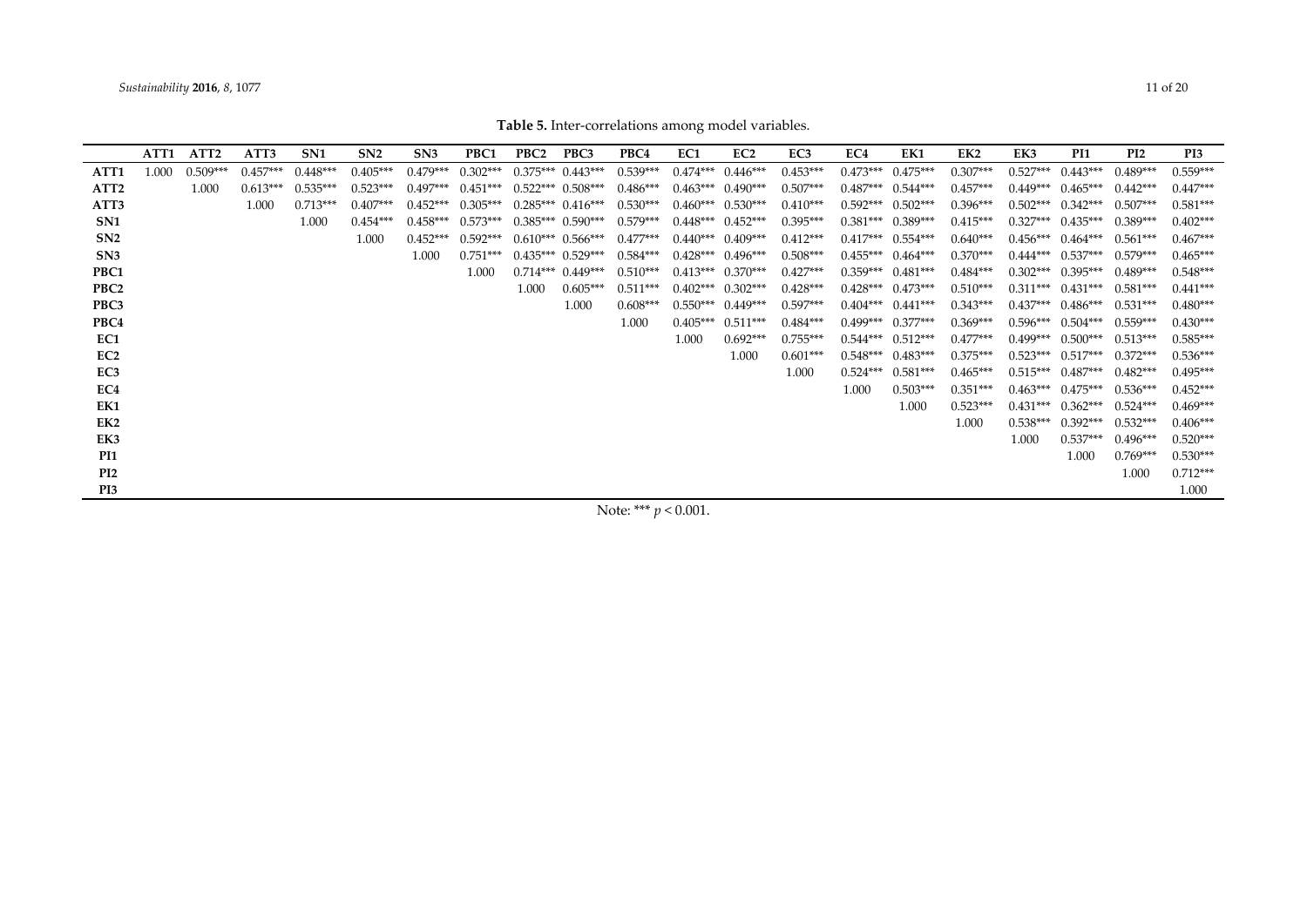Note: \*\*\* *p* < 0.001.

|                  | ATT1  | ATT <sub>2</sub> | ATT3       | SN1        | SN <sub>2</sub> | SN <sub>3</sub> | PBC1       | PBC <sub>2</sub> | PBC3                  | PBC4       | EC1        | EC <sub>2</sub>       | EC3        | EC4        | EK1                   | EK2        | EK3        | PI1                   | PI <sub>2</sub> | PI3        |
|------------------|-------|------------------|------------|------------|-----------------|-----------------|------------|------------------|-----------------------|------------|------------|-----------------------|------------|------------|-----------------------|------------|------------|-----------------------|-----------------|------------|
| ATT1             | 1 000 | $0.509***$       | $0.457***$ | $0.448***$ | $0.405***$      | $0.479***$      | $0.302***$ |                  | $0.375***$ $0.443***$ | $0.539***$ | $0.474***$ | $0.446***$            | $0.453***$ | $0.473***$ | $0.475***$            | $0.307***$ | $0.527***$ | $0.443***$            | $0.489***$      | $0.559***$ |
| ATT <sub>2</sub> |       | 1.000            | $0.613***$ | $0.535***$ | $0.523***$      | $0.497***$      | $0.451***$ |                  | $0.522***$ $0.508***$ | $0.486***$ |            | $0.463***$ $0.490***$ | $0.507***$ | $0.487***$ | $0.544***$            | $0.457***$ | $0.449***$ | $0.465***$            | $0.442***$      | $0.447***$ |
| ATT3             |       |                  | 1.000      | $0.713***$ | $0.407***$      | $0.452***$      | $0.305***$ |                  | $0.285***$ $0.416***$ | $0.530***$ | $0.460***$ | $0.530***$            | $0.410***$ | $0.592***$ | $0.502***$            | $0.396***$ | $0.502***$ | $0.342***$            | $0.507***$      | $0.581***$ |
| SN <sub>1</sub>  |       |                  |            | 1.000      | $0.454***$      | $0.458***$      | $0.573***$ |                  | $0.385***$ 0.590***   | $0.579***$ |            | $0.448***$ $0.452***$ | $0.395***$ | $0.381***$ | $0.389***$            | $0.415***$ | $0.327***$ | $0.435***$            | $0.389***$      | $0.402***$ |
| SN2              |       |                  |            |            | 1.000           | $0.452***$      | $0.592***$ |                  | $0.610***$ 0.566***   | $0.477***$ |            | $0.440***$ 0.409***   | $0.412***$ | $0.417***$ | $0.554***$            | $0.640***$ | $0.456***$ | $0.464***$            | $0.561***$      | $0.467***$ |
| SN3              |       |                  |            |            |                 | 1.000           | $0.751***$ |                  | $0.435***$ $0.529***$ | $0.584***$ |            | $0.428***$ $0.496***$ | $0.508***$ |            | $0.455***$ $0.464***$ | $0.370***$ |            | $0.444***$ $0.537***$ | $0.579***$      | $0.465***$ |
| PBC1             |       |                  |            |            |                 |                 | 1.000      |                  | $0.714***$ 0.449***   | $0.510***$ | $0.413***$ | $0.370***$            | $0.427***$ |            | $0.359***$ $0.481***$ | $0.484***$ |            | $0.302***$ 0.395***   | $0.489***$      | $0.548***$ |
| PBC <sub>2</sub> |       |                  |            |            |                 |                 |            | 1.000            | $0.605***$            | $0.511***$ |            | $0.402***$ $0.302***$ | $0.428***$ |            | $0.428***$ $0.473***$ | $0.510***$ | $0.311***$ | $0.431***$            | $0.581***$      | $0.441***$ |
| PBC3             |       |                  |            |            |                 |                 |            |                  | 1.000                 | $0.608***$ | $0.550***$ | $0.449***$            | $0.597***$ | $0.404***$ | $0.441***$            | $0.343***$ | $0.437***$ | $0.486***$            | $0.531***$      | $0.480***$ |
| PBC4             |       |                  |            |            |                 |                 |            |                  |                       | 1.000      | $0.405***$ | $0.511***$            | $0.484***$ |            | $0.499***$ $0.377***$ | $0.369***$ |            | $0.596***$ $0.504***$ | $0.559***$      | $0.430***$ |
| EC1              |       |                  |            |            |                 |                 |            |                  |                       |            | 1.000      | $0.692***$            | $0.755***$ | $0.544***$ | $0.512***$            | $0.477***$ | $0.499***$ | $0.500***$            | $0.513***$      | $0.585***$ |
| EC <sub>2</sub>  |       |                  |            |            |                 |                 |            |                  |                       |            |            | 1.000                 | $0.601***$ | $0.548***$ | $0.483***$            | $0.375***$ | $0.523***$ | $0.517***$            | $0.372***$      | $0.536***$ |
| EC <sub>3</sub>  |       |                  |            |            |                 |                 |            |                  |                       |            |            |                       | 1.000      | $0.524***$ | $0.581***$            | $0.465***$ | $0.515***$ | $0.487***$            | $0.482***$      | $0.495***$ |
| EC4              |       |                  |            |            |                 |                 |            |                  |                       |            |            |                       |            | 1.000      | $0.503***$            | $0.351***$ |            | $0.463***$ $0.475***$ | $0.536***$      | $0.452***$ |
| EK1              |       |                  |            |            |                 |                 |            |                  |                       |            |            |                       |            |            | 1.000                 | $0.523***$ | $0.431***$ | $0.362***$            | $0.524***$      | $0.469***$ |
| EK2              |       |                  |            |            |                 |                 |            |                  |                       |            |            |                       |            |            |                       | 1.000      | $0.538***$ | $0.392***$            | $0.532***$      | $0.406***$ |
| EK3              |       |                  |            |            |                 |                 |            |                  |                       |            |            |                       |            |            |                       |            | 1.000      | $0.537***$            | $0.496***$      | $0.520***$ |
| PI1              |       |                  |            |            |                 |                 |            |                  |                       |            |            |                       |            |            |                       |            |            | 1.000                 | $0.769***$      | $0.530***$ |
| P <sub>I2</sub>  |       |                  |            |            |                 |                 |            |                  |                       |            |            |                       |            |            |                       |            |            |                       | 1.000           | $0.712***$ |
| PI3              |       |                  |            |            |                 |                 |            |                  |                       |            |            |                       |            |            |                       |            |            |                       |                 | 1.000      |
|                  |       |                  |            |            |                 |                 |            |                  |                       |            |            |                       |            |            |                       |            |            |                       |                 |            |

**Table 5.** Inter-correlations among model variables.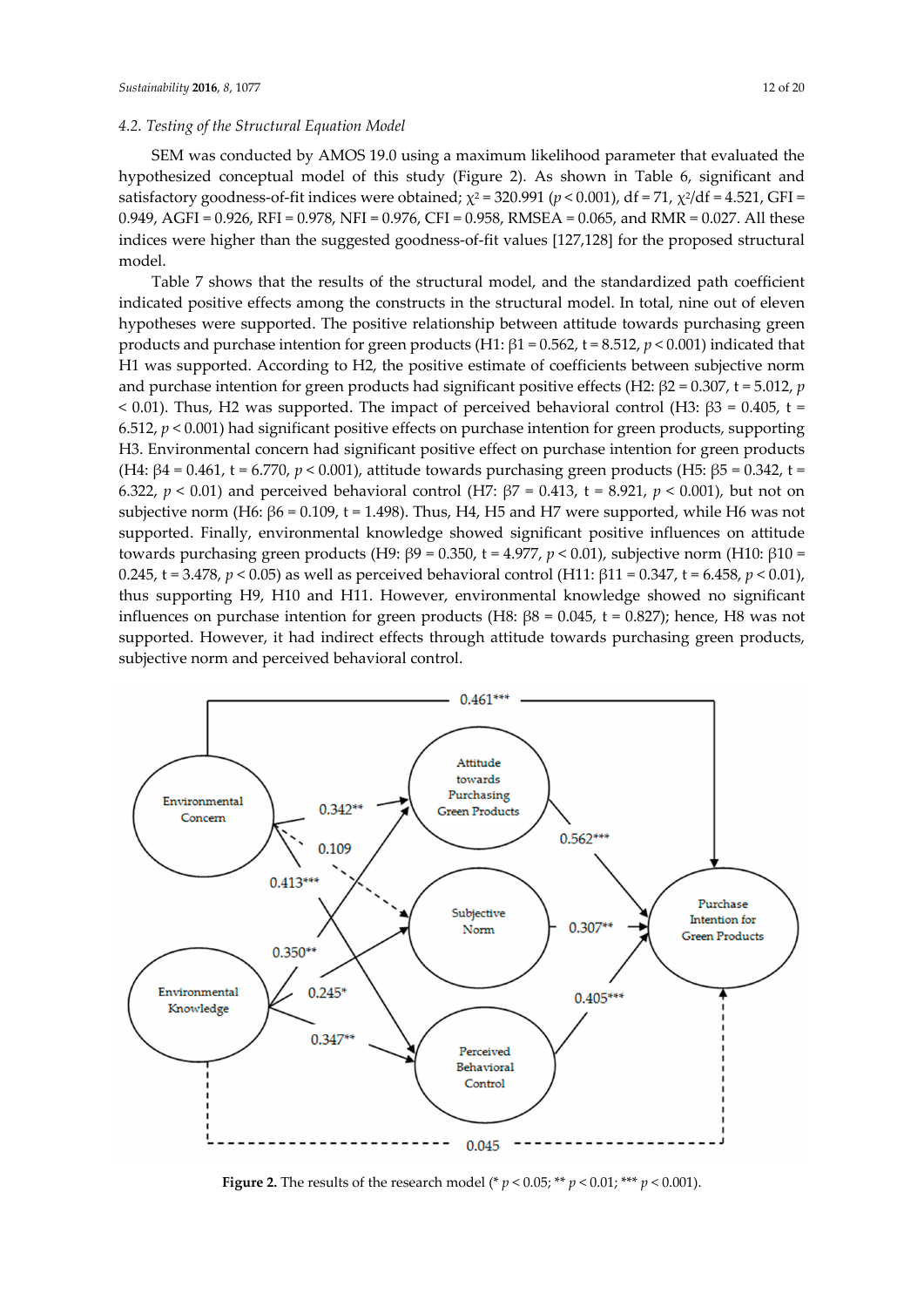## *4.2. Testing of the Structural Equation Model*

SEM was conducted by AMOS 19.0 using a maximum likelihood parameter that evaluated the hypothesized conceptual model of this study (Figure 2). As shown in Table 6, significant and satisfactory goodness-of-fit indices were obtained;  $\chi^2 = 320.991$  ( $p < 0.001$ ), df = 71,  $\chi^2$ /df = 4.521, GFI = 0.949, AGFI = 0.926, RFI = 0.978, NFI = 0.976, CFI = 0.958, RMSEA = 0.065, and RMR = 0.027. All these indices were higher than the suggested goodness-of-fit values [127,128] for the proposed structural model.

Table 7 shows that the results of the structural model, and the standardized path coefficient indicated positive effects among the constructs in the structural model. In total, nine out of eleven hypotheses were supported. The positive relationship between attitude towards purchasing green products and purchase intention for green products (H1: β1 = 0.562, t = 8.512, *p* < 0.001) indicated that H1 was supported. According to H2, the positive estimate of coefficients between subjective norm and purchase intention for green products had significant positive effects (H2: β2 = 0.307, t = 5.012, *p*   $< 0.01$ ). Thus, H2 was supported. The impact of perceived behavioral control (H3:  $\beta$ 3 = 0.405, t = 6.512,  $p < 0.001$ ) had significant positive effects on purchase intention for green products, supporting H3. Environmental concern had significant positive effect on purchase intention for green products (H4:  $β4 = 0.461$ , t = 6.770,  $p < 0.001$ ), attitude towards purchasing green products (H5:  $β5 = 0.342$ , t = 6.322, *p* < 0.01) and perceived behavioral control (H7: β7 = 0.413, t = 8.921, *p* < 0.001), but not on subjective norm (H6:  $β6 = 0.109$ , t = 1.498). Thus, H4, H5 and H7 were supported, while H6 was not supported. Finally, environmental knowledge showed significant positive influences on attitude towards purchasing green products (H9: β9 = 0.350, t = 4.977, *p* < 0.01), subjective norm (H10: β10 = 0.245, t = 3.478, *p* < 0.05) as well as perceived behavioral control (H11: β11 = 0.347, t = 6.458, *p* < 0.01), thus supporting H9, H10 and H11. However, environmental knowledge showed no significant influences on purchase intention for green products (H8:  $\beta$ 8 = 0.045, t = 0.827); hence, H8 was not supported. However, it had indirect effects through attitude towards purchasing green products, subjective norm and perceived behavioral control.



**Figure 2.** The results of the research model (\*  $p < 0.05$ ; \*\*  $p < 0.01$ ; \*\*\*  $p < 0.001$ ).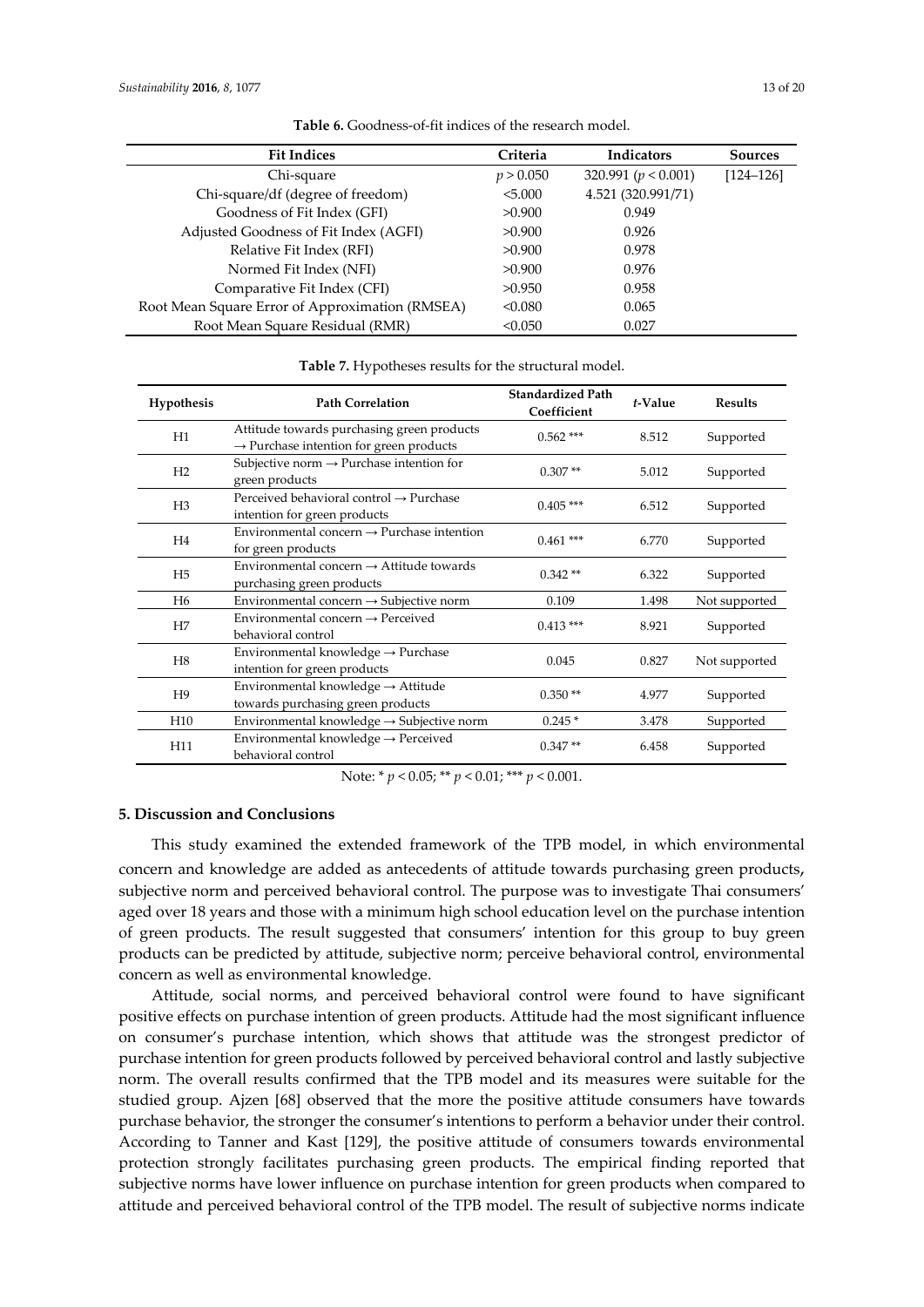| <b>Fit Indices</b>                              | Criteria  | <b>Indicators</b>       | <b>Sources</b> |
|-------------------------------------------------|-----------|-------------------------|----------------|
| Chi-square                                      | p > 0.050 | 320.991 ( $p < 0.001$ ) | $[124 - 126]$  |
| Chi-square/df (degree of freedom)               | < 5.000   | 4.521 (320.991/71)      |                |
| Goodness of Fit Index (GFI)                     | >0.900    | 0.949                   |                |
| Adjusted Goodness of Fit Index (AGFI)           | >0.900    | 0.926                   |                |
| Relative Fit Index (RFI)                        | >0.900    | 0.978                   |                |
| Normed Fit Index (NFI)                          | >0.900    | 0.976                   |                |
| Comparative Fit Index (CFI)                     | >0.950    | 0.958                   |                |
| Root Mean Square Error of Approximation (RMSEA) | < 0.080   | 0.065                   |                |
| Root Mean Square Residual (RMR)                 | < 0.050   | 0.027                   |                |

**Table 6.** Goodness-of-fit indices of the research model.

| <b>Hypothesis</b> | <b>Path Correlation</b>                                                                           | <b>Standardized Path</b><br>Coefficient | t-Value | <b>Results</b> |
|-------------------|---------------------------------------------------------------------------------------------------|-----------------------------------------|---------|----------------|
| H1                | Attitude towards purchasing green products<br>$\rightarrow$ Purchase intention for green products | $0.562$ ***                             | 8.512   | Supported      |
| H2                | Subjective norm $\rightarrow$ Purchase intention for<br>green products                            | $0.307**$                               | 5.012   | Supported      |
| H3                | Perceived behavioral control $\rightarrow$ Purchase<br>intention for green products               | $0.405$ ***                             | 6.512   | Supported      |
| H4                | Environmental concern $\rightarrow$ Purchase intention<br>for green products                      | $0.461$ ***                             | 6.770   | Supported      |
| H5                | Environmental concern $\rightarrow$ Attitude towards<br>purchasing green products                 | $0.342**$                               | 6.322   | Supported      |

**Table 7.** Hypotheses results for the structural model.

 $H5$  Environmental concern  $\rightarrow$  Attitude towards purchasing green products 0.342 \*\* 6.322 Supported H6 Environmental concern → Subjective norm 0.109 1.498 Not supported H7 Environmental concern  $\rightarrow$  Perceived behavioral control control control control  $0.413***$  8.921 Supported H8 Environmental knowledge  $\rightarrow$  Purchase intention for green products 0.045 0.827 Not supported H9 Environmental knowledge  $\rightarrow$  Attitude towards purchasing green products  $0.350$  \*\*  $4.977$  Supported towards purchasing green products H10 Environmental knowledge → Subjective norm 0.245 \* 3.478 Supported H11 Environmental knowledge → Perceived behavioral control 0.347 \*\* 6.458 Supported

Note: \* *p* < 0.05; \*\* *p* < 0.01; \*\*\* *p* < 0.001.

#### **5. Discussion and Conclusions**

This study examined the extended framework of the TPB model, in which environmental concern and knowledge are added as antecedents of attitude towards purchasing green products, subjective norm and perceived behavioral control. The purpose was to investigate Thai consumers' aged over 18 years and those with a minimum high school education level on the purchase intention of green products. The result suggested that consumers' intention for this group to buy green products can be predicted by attitude, subjective norm; perceive behavioral control, environmental concern as well as environmental knowledge.

Attitude, social norms, and perceived behavioral control were found to have significant positive effects on purchase intention of green products. Attitude had the most significant influence on consumer's purchase intention, which shows that attitude was the strongest predictor of purchase intention for green products followed by perceived behavioral control and lastly subjective norm. The overall results confirmed that the TPB model and its measures were suitable for the studied group. Ajzen [68] observed that the more the positive attitude consumers have towards purchase behavior, the stronger the consumer's intentions to perform a behavior under their control. According to Tanner and Kast [129], the positive attitude of consumers towards environmental protection strongly facilitates purchasing green products. The empirical finding reported that subjective norms have lower influence on purchase intention for green products when compared to attitude and perceived behavioral control of the TPB model. The result of subjective norms indicate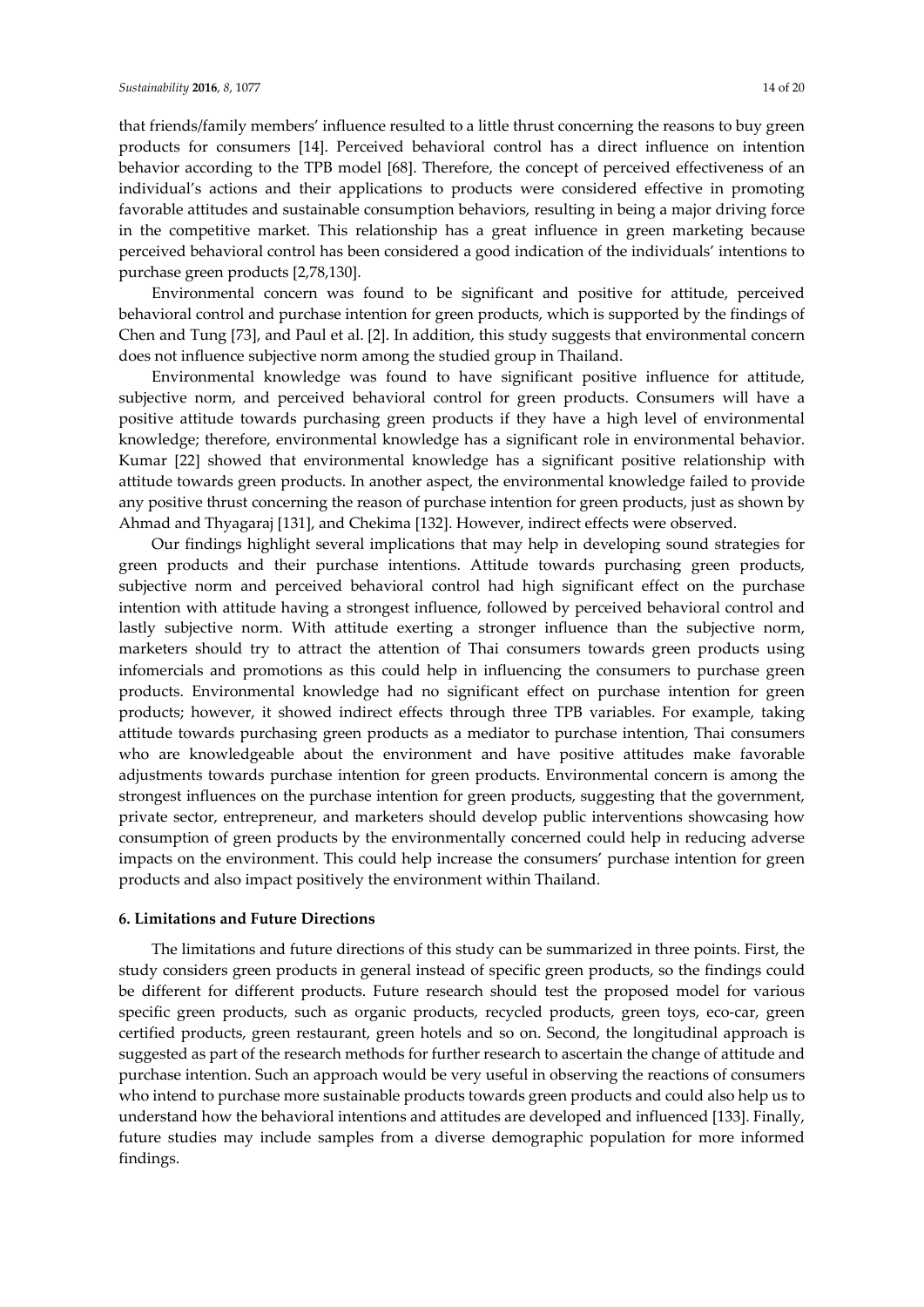that friends/family members' influence resulted to a little thrust concerning the reasons to buy green products for consumers [14]. Perceived behavioral control has a direct influence on intention behavior according to the TPB model [68]. Therefore, the concept of perceived effectiveness of an individual's actions and their applications to products were considered effective in promoting favorable attitudes and sustainable consumption behaviors, resulting in being a major driving force in the competitive market. This relationship has a great influence in green marketing because perceived behavioral control has been considered a good indication of the individuals' intentions to purchase green products [2,78,130].

Environmental concern was found to be significant and positive for attitude, perceived behavioral control and purchase intention for green products, which is supported by the findings of Chen and Tung [73], and Paul et al. [2]. In addition, this study suggests that environmental concern does not influence subjective norm among the studied group in Thailand.

Environmental knowledge was found to have significant positive influence for attitude, subjective norm, and perceived behavioral control for green products. Consumers will have a positive attitude towards purchasing green products if they have a high level of environmental knowledge; therefore, environmental knowledge has a significant role in environmental behavior. Kumar [22] showed that environmental knowledge has a significant positive relationship with attitude towards green products. In another aspect, the environmental knowledge failed to provide any positive thrust concerning the reason of purchase intention for green products, just as shown by Ahmad and Thyagaraj [131], and Chekima [132]. However, indirect effects were observed.

Our findings highlight several implications that may help in developing sound strategies for green products and their purchase intentions. Attitude towards purchasing green products, subjective norm and perceived behavioral control had high significant effect on the purchase intention with attitude having a strongest influence, followed by perceived behavioral control and lastly subjective norm. With attitude exerting a stronger influence than the subjective norm, marketers should try to attract the attention of Thai consumers towards green products using infomercials and promotions as this could help in influencing the consumers to purchase green products. Environmental knowledge had no significant effect on purchase intention for green products; however, it showed indirect effects through three TPB variables. For example, taking attitude towards purchasing green products as a mediator to purchase intention, Thai consumers who are knowledgeable about the environment and have positive attitudes make favorable adjustments towards purchase intention for green products. Environmental concern is among the strongest influences on the purchase intention for green products, suggesting that the government, private sector, entrepreneur, and marketers should develop public interventions showcasing how consumption of green products by the environmentally concerned could help in reducing adverse impacts on the environment. This could help increase the consumers' purchase intention for green products and also impact positively the environment within Thailand.

#### **6. Limitations and Future Directions**

The limitations and future directions of this study can be summarized in three points. First, the study considers green products in general instead of specific green products, so the findings could be different for different products. Future research should test the proposed model for various specific green products, such as organic products, recycled products, green toys, eco-car, green certified products, green restaurant, green hotels and so on. Second, the longitudinal approach is suggested as part of the research methods for further research to ascertain the change of attitude and purchase intention. Such an approach would be very useful in observing the reactions of consumers who intend to purchase more sustainable products towards green products and could also help us to understand how the behavioral intentions and attitudes are developed and influenced [133]. Finally, future studies may include samples from a diverse demographic population for more informed findings.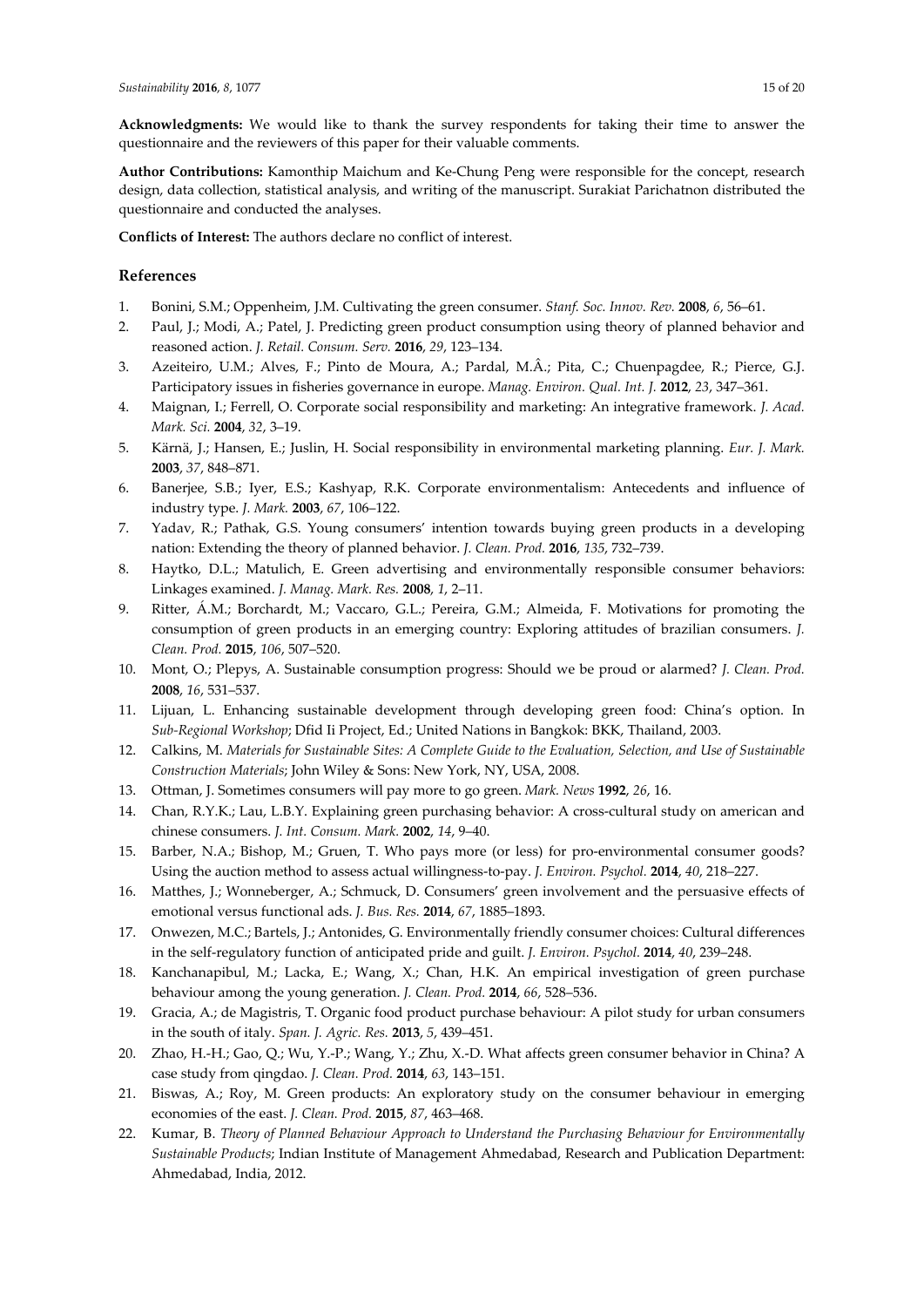**Author Contributions:** Kamonthip Maichum and Ke-Chung Peng were responsible for the concept, research design, data collection, statistical analysis, and writing of the manuscript. Surakiat Parichatnon distributed the questionnaire and conducted the analyses.

**Conflicts of Interest:** The authors declare no conflict of interest.

## **References**

- 1. Bonini, S.M.; Oppenheim, J.M. Cultivating the green consumer. *Stanf. Soc. Innov. Rev.* **2008**, *6*, 56–61.
- 2. Paul, J.; Modi, A.; Patel, J. Predicting green product consumption using theory of planned behavior and reasoned action. *J. Retail. Consum. Serv.* **2016**, *29*, 123–134.
- 3. Azeiteiro, U.M.; Alves, F.; Pinto de Moura, A.; Pardal, M.Â.; Pita, C.; Chuenpagdee, R.; Pierce, G.J. Participatory issues in fisheries governance in europe. *Manag. Environ. Qual. Int. J.* **2012**, *23*, 347–361.
- 4. Maignan, I.; Ferrell, O. Corporate social responsibility and marketing: An integrative framework. *J. Acad. Mark. Sci.* **2004**, *32*, 3–19.
- 5. Kärnä, J.; Hansen, E.; Juslin, H. Social responsibility in environmental marketing planning. *Eur. J. Mark.*  **2003**, *37*, 848–871.
- 6. Banerjee, S.B.; Iyer, E.S.; Kashyap, R.K. Corporate environmentalism: Antecedents and influence of industry type. *J. Mark.* **2003**, *67*, 106–122.
- 7. Yadav, R.; Pathak, G.S. Young consumers' intention towards buying green products in a developing nation: Extending the theory of planned behavior. *J. Clean. Prod.* **2016**, *135*, 732–739.
- 8. Haytko, D.L.; Matulich, E. Green advertising and environmentally responsible consumer behaviors: Linkages examined. *J. Manag. Mark. Res.* **2008**, *1*, 2–11.
- 9. Ritter, Á.M.; Borchardt, M.; Vaccaro, G.L.; Pereira, G.M.; Almeida, F. Motivations for promoting the consumption of green products in an emerging country: Exploring attitudes of brazilian consumers. *J. Clean. Prod.* **2015**, *106*, 507–520.
- 10. Mont, O.; Plepys, A. Sustainable consumption progress: Should we be proud or alarmed? *J. Clean. Prod.*  **2008**, *16*, 531–537.
- 11. Lijuan, L. Enhancing sustainable development through developing green food: China's option. In *Sub-Regional Workshop*; Dfid Ii Project, Ed.; United Nations in Bangkok: BKK, Thailand, 2003.
- 12. Calkins, M. *Materials for Sustainable Sites: A Complete Guide to the Evaluation, Selection, and Use of Sustainable Construction Materials*; John Wiley & Sons: New York, NY, USA, 2008.
- 13. Ottman, J. Sometimes consumers will pay more to go green. *Mark. News* **1992**, *26*, 16.
- 14. Chan, R.Y.K.; Lau, L.B.Y. Explaining green purchasing behavior: A cross-cultural study on american and chinese consumers. *J. Int. Consum. Mark.* **2002**, *14*, 9–40.
- 15. Barber, N.A.; Bishop, M.; Gruen, T. Who pays more (or less) for pro-environmental consumer goods? Using the auction method to assess actual willingness-to-pay. *J. Environ. Psychol.* **2014**, *40*, 218–227.
- 16. Matthes, J.; Wonneberger, A.; Schmuck, D. Consumers' green involvement and the persuasive effects of emotional versus functional ads. *J. Bus. Res.* **2014**, *67*, 1885–1893.
- 17. Onwezen, M.C.; Bartels, J.; Antonides, G. Environmentally friendly consumer choices: Cultural differences in the self-regulatory function of anticipated pride and guilt. *J. Environ. Psychol.* **2014**, *40*, 239–248.
- 18. Kanchanapibul, M.; Lacka, E.; Wang, X.; Chan, H.K. An empirical investigation of green purchase behaviour among the young generation. *J. Clean. Prod.* **2014**, *66*, 528–536.
- 19. Gracia, A.; de Magistris, T. Organic food product purchase behaviour: A pilot study for urban consumers in the south of italy. *Span. J. Agric. Res.* **2013**, *5*, 439–451.
- 20. Zhao, H.-H.; Gao, Q.; Wu, Y.-P.; Wang, Y.; Zhu, X.-D. What affects green consumer behavior in China? A case study from qingdao. *J. Clean. Prod.* **2014**, *63*, 143–151.
- 21. Biswas, A.; Roy, M. Green products: An exploratory study on the consumer behaviour in emerging economies of the east. *J. Clean. Prod.* **2015**, *87*, 463–468.
- 22. Kumar, B. *Theory of Planned Behaviour Approach to Understand the Purchasing Behaviour for Environmentally Sustainable Products*; Indian Institute of Management Ahmedabad, Research and Publication Department: Ahmedabad, India, 2012.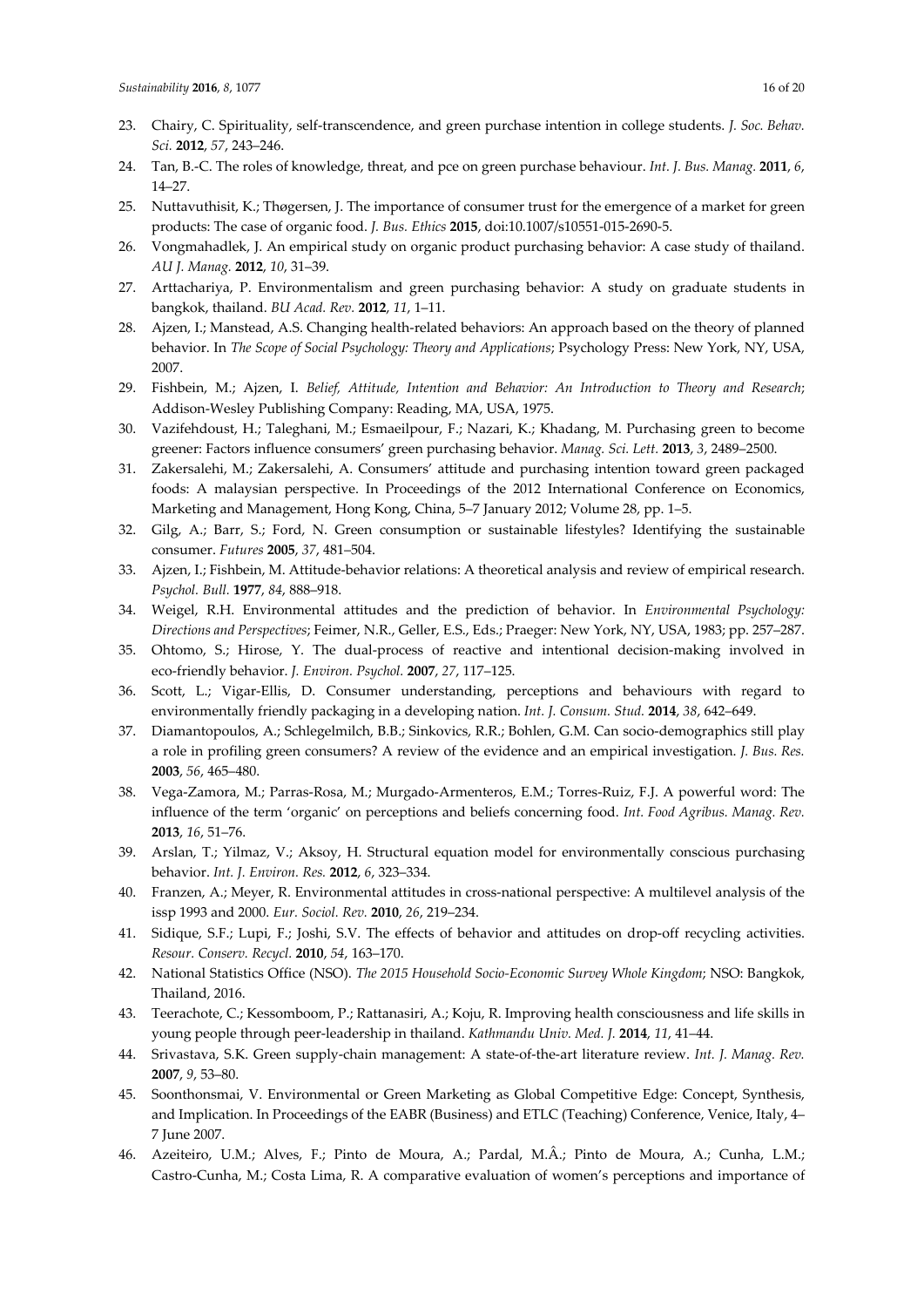- 23. Chairy, C. Spirituality, self-transcendence, and green purchase intention in college students. *J. Soc. Behav. Sci.* **2012**, *57*, 243–246.
- 24. Tan, B.-C. The roles of knowledge, threat, and pce on green purchase behaviour. *Int. J. Bus. Manag.* **2011**, *6*, 14–27.
- 25. Nuttavuthisit, K.; Thøgersen, J. The importance of consumer trust for the emergence of a market for green products: The case of organic food. *J. Bus. Ethics* **2015**, doi:10.1007/s10551-015-2690-5.
- 26. Vongmahadlek, J. An empirical study on organic product purchasing behavior: A case study of thailand. *AU J. Manag.* **2012**, *10*, 31–39.
- 27. Arttachariya, P. Environmentalism and green purchasing behavior: A study on graduate students in bangkok, thailand. *BU Acad. Rev.* **2012**, *11*, 1–11.
- 28. Ajzen, I.; Manstead, A.S. Changing health-related behaviors: An approach based on the theory of planned behavior. In *The Scope of Social Psychology: Theory and Applications*; Psychology Press: New York, NY, USA, 2007.
- 29. Fishbein, M.; Ajzen, I. *Belief, Attitude, Intention and Behavior: An Introduction to Theory and Research*; Addison-Wesley Publishing Company: Reading, MA, USA, 1975.
- 30. Vazifehdoust, H.; Taleghani, M.; Esmaeilpour, F.; Nazari, K.; Khadang, M. Purchasing green to become greener: Factors influence consumers' green purchasing behavior. *Manag. Sci. Lett.* **2013**, *3*, 2489–2500.
- 31. Zakersalehi, M.; Zakersalehi, A. Consumers' attitude and purchasing intention toward green packaged foods: A malaysian perspective. In Proceedings of the 2012 International Conference on Economics, Marketing and Management, Hong Kong, China, 5–7 January 2012; Volume 28, pp. 1–5.
- 32. Gilg, A.; Barr, S.; Ford, N. Green consumption or sustainable lifestyles? Identifying the sustainable consumer. *Futures* **2005**, *37*, 481–504.
- 33. Ajzen, I.; Fishbein, M. Attitude-behavior relations: A theoretical analysis and review of empirical research. *Psychol. Bull.* **1977**, *84*, 888–918.
- 34. Weigel, R.H. Environmental attitudes and the prediction of behavior. In *Environmental Psychology: Directions and Perspectives*; Feimer, N.R., Geller, E.S., Eds.; Praeger: New York, NY, USA, 1983; pp. 257–287.
- 35. Ohtomo, S.; Hirose, Y. The dual-process of reactive and intentional decision-making involved in eco-friendly behavior. *J. Environ. Psychol.* **2007**, *27*, 117–125.
- 36. Scott, L.; Vigar-Ellis, D. Consumer understanding, perceptions and behaviours with regard to environmentally friendly packaging in a developing nation. *Int. J. Consum. Stud.* **2014**, *38*, 642–649.
- 37. Diamantopoulos, A.; Schlegelmilch, B.B.; Sinkovics, R.R.; Bohlen, G.M. Can socio-demographics still play a role in profiling green consumers? A review of the evidence and an empirical investigation. *J. Bus. Res.*  **2003**, *56*, 465–480.
- 38. Vega-Zamora, M.; Parras-Rosa, M.; Murgado-Armenteros, E.M.; Torres-Ruiz, F.J. A powerful word: The influence of the term 'organic' on perceptions and beliefs concerning food. *Int. Food Agribus. Manag. Rev.*  **2013**, *16*, 51–76.
- 39. Arslan, T.; Yilmaz, V.; Aksoy, H. Structural equation model for environmentally conscious purchasing behavior. *Int. J. Environ. Res.* **2012**, *6*, 323–334.
- 40. Franzen, A.; Meyer, R. Environmental attitudes in cross-national perspective: A multilevel analysis of the issp 1993 and 2000. *Eur. Sociol. Rev.* **2010**, *26*, 219–234.
- 41. Sidique, S.F.; Lupi, F.; Joshi, S.V. The effects of behavior and attitudes on drop-off recycling activities. *Resour. Conserv. Recycl.* **2010**, *54*, 163–170.
- 42. National Statistics Office (NSO). *The 2015 Household Socio-Economic Survey Whole Kingdom*; NSO: Bangkok, Thailand, 2016.
- 43. Teerachote, C.; Kessomboom, P.; Rattanasiri, A.; Koju, R. Improving health consciousness and life skills in young people through peer-leadership in thailand. *Kathmandu Univ. Med. J.* **2014**, *11*, 41–44.
- 44. Srivastava, S.K. Green supply-chain management: A state-of-the-art literature review. *Int. J. Manag. Rev.*  **2007**, *9*, 53–80.
- 45. Soonthonsmai, V. Environmental or Green Marketing as Global Competitive Edge: Concept, Synthesis, and Implication. In Proceedings of the EABR (Business) and ETLC (Teaching) Conference, Venice, Italy, 4– 7 June 2007.
- 46. Azeiteiro, U.M.; Alves, F.; Pinto de Moura, A.; Pardal, M.Â.; Pinto de Moura, A.; Cunha, L.M.; Castro-Cunha, M.; Costa Lima, R. A comparative evaluation of women's perceptions and importance of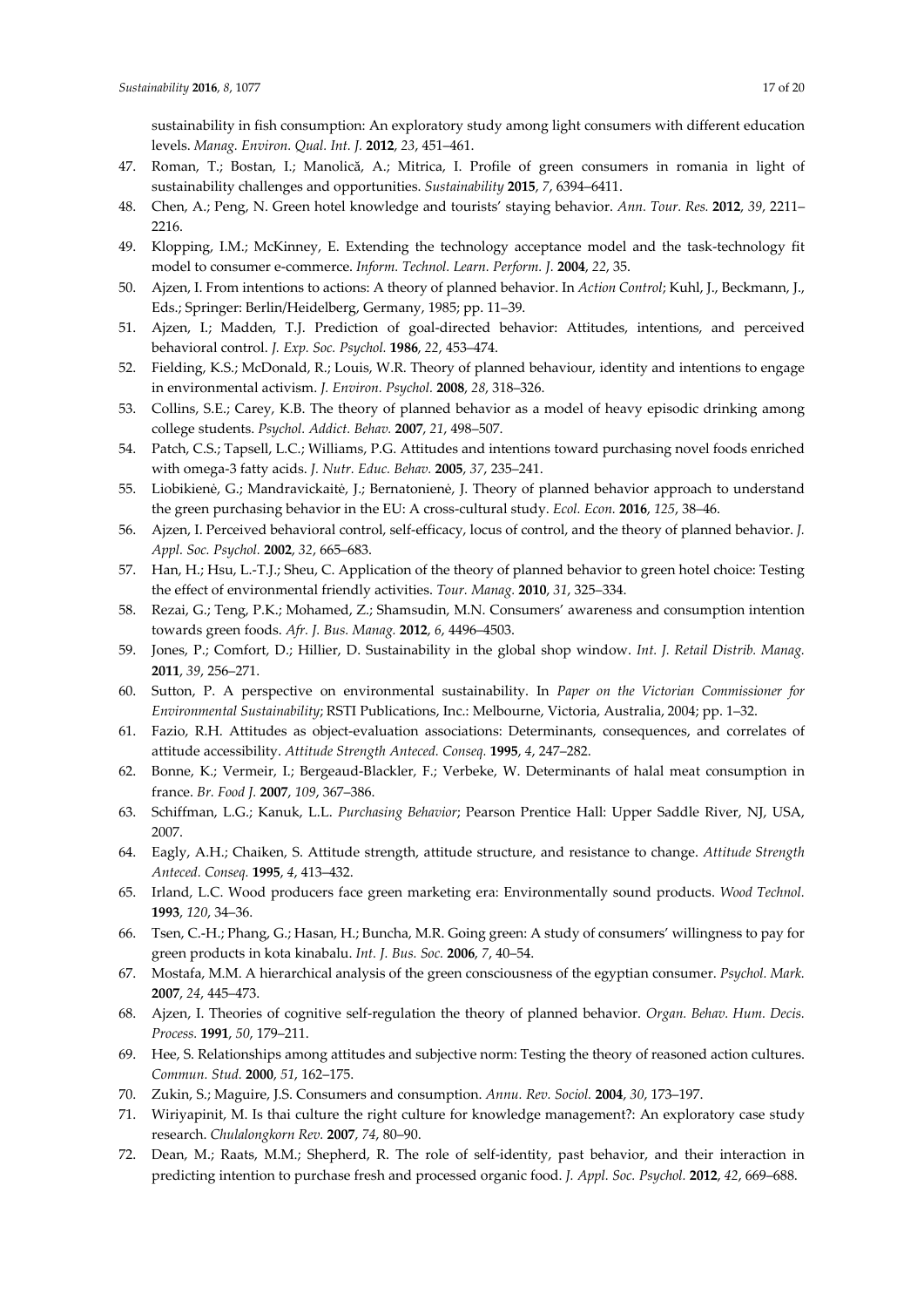sustainability in fish consumption: An exploratory study among light consumers with different education levels. *Manag. Environ. Qual. Int. J.* **2012**, *23*, 451–461.

- 47. Roman, T.; Bostan, I.; Manolică, A.; Mitrica, I. Profile of green consumers in romania in light of sustainability challenges and opportunities. *Sustainability* **2015**, *7*, 6394–6411.
- 48. Chen, A.; Peng, N. Green hotel knowledge and tourists' staying behavior. *Ann. Tour. Res.* **2012**, *39*, 2211– 2216.
- 49. Klopping, I.M.; McKinney, E. Extending the technology acceptance model and the task-technology fit model to consumer e-commerce. *Inform. Technol. Learn. Perform. J.* **2004**, *22*, 35.
- 50. Ajzen, I. From intentions to actions: A theory of planned behavior. In *Action Control*; Kuhl, J., Beckmann, J., Eds.; Springer: Berlin/Heidelberg, Germany, 1985; pp. 11–39.
- 51. Ajzen, I.; Madden, T.J. Prediction of goal-directed behavior: Attitudes, intentions, and perceived behavioral control. *J. Exp. Soc. Psychol.* **1986**, *22*, 453–474.
- 52. Fielding, K.S.; McDonald, R.; Louis, W.R. Theory of planned behaviour, identity and intentions to engage in environmental activism. *J. Environ. Psychol.* **2008**, *28*, 318–326.
- 53. Collins, S.E.; Carey, K.B. The theory of planned behavior as a model of heavy episodic drinking among college students. *Psychol. Addict. Behav.* **2007**, *21*, 498–507.
- 54. Patch, C.S.; Tapsell, L.C.; Williams, P.G. Attitudes and intentions toward purchasing novel foods enriched with omega-3 fatty acids. *J. Nutr. Educ. Behav.* **2005**, *37*, 235–241.
- 55. Liobikienė, G.; Mandravickaitė, J.; Bernatonienė, J. Theory of planned behavior approach to understand the green purchasing behavior in the EU: A cross-cultural study. *Ecol. Econ.* **2016**, *125*, 38–46.
- 56. Ajzen, I. Perceived behavioral control, self-efficacy, locus of control, and the theory of planned behavior. *J. Appl. Soc. Psychol.* **2002**, *32*, 665–683.
- 57. Han, H.; Hsu, L.-T.J.; Sheu, C. Application of the theory of planned behavior to green hotel choice: Testing the effect of environmental friendly activities. *Tour. Manag.* **2010**, *31*, 325–334.
- 58. Rezai, G.; Teng, P.K.; Mohamed, Z.; Shamsudin, M.N. Consumers' awareness and consumption intention towards green foods. *Afr. J. Bus. Manag.* **2012**, *6*, 4496–4503.
- 59. Jones, P.; Comfort, D.; Hillier, D. Sustainability in the global shop window. *Int. J. Retail Distrib. Manag.*  **2011**, *39*, 256–271.
- 60. Sutton, P. A perspective on environmental sustainability. In *Paper on the Victorian Commissioner for Environmental Sustainability*; RSTI Publications, Inc.: Melbourne, Victoria, Australia, 2004; pp. 1–32.
- 61. Fazio, R.H. Attitudes as object-evaluation associations: Determinants, consequences, and correlates of attitude accessibility. *Attitude Strength Anteced. Conseq.* **1995**, *4*, 247–282.
- 62. Bonne, K.; Vermeir, I.; Bergeaud-Blackler, F.; Verbeke, W. Determinants of halal meat consumption in france. *Br. Food J.* **2007**, *109*, 367–386.
- 63. Schiffman, L.G.; Kanuk, L.L. *Purchasing Behavior*; Pearson Prentice Hall: Upper Saddle River, NJ, USA, 2007.
- 64. Eagly, A.H.; Chaiken, S. Attitude strength, attitude structure, and resistance to change. *Attitude Strength Anteced. Conseq.* **1995**, *4*, 413–432.
- 65. Irland, L.C. Wood producers face green marketing era: Environmentally sound products. *Wood Technol.*  **1993**, *120*, 34–36.
- 66. Tsen, C.-H.; Phang, G.; Hasan, H.; Buncha, M.R. Going green: A study of consumers' willingness to pay for green products in kota kinabalu. *Int. J. Bus. Soc.* **2006**, *7*, 40–54.
- 67. Mostafa, M.M. A hierarchical analysis of the green consciousness of the egyptian consumer. *Psychol. Mark.*  **2007**, *24*, 445–473.
- 68. Ajzen, I. Theories of cognitive self-regulation the theory of planned behavior. *Organ. Behav. Hum. Decis. Process.* **1991**, *50*, 179–211.
- 69. Hee, S. Relationships among attitudes and subjective norm: Testing the theory of reasoned action cultures. *Commun. Stud.* **2000**, *51*, 162–175.
- 70. Zukin, S.; Maguire, J.S. Consumers and consumption. *Annu. Rev. Sociol.* **2004**, *30*, 173–197.
- 71. Wiriyapinit, M. Is thai culture the right culture for knowledge management?: An exploratory case study research. *Chulalongkorn Rev.* **2007**, *74*, 80–90.
- 72. Dean, M.; Raats, M.M.; Shepherd, R. The role of self-identity, past behavior, and their interaction in predicting intention to purchase fresh and processed organic food. *J. Appl. Soc. Psychol.* **2012**, *42*, 669–688.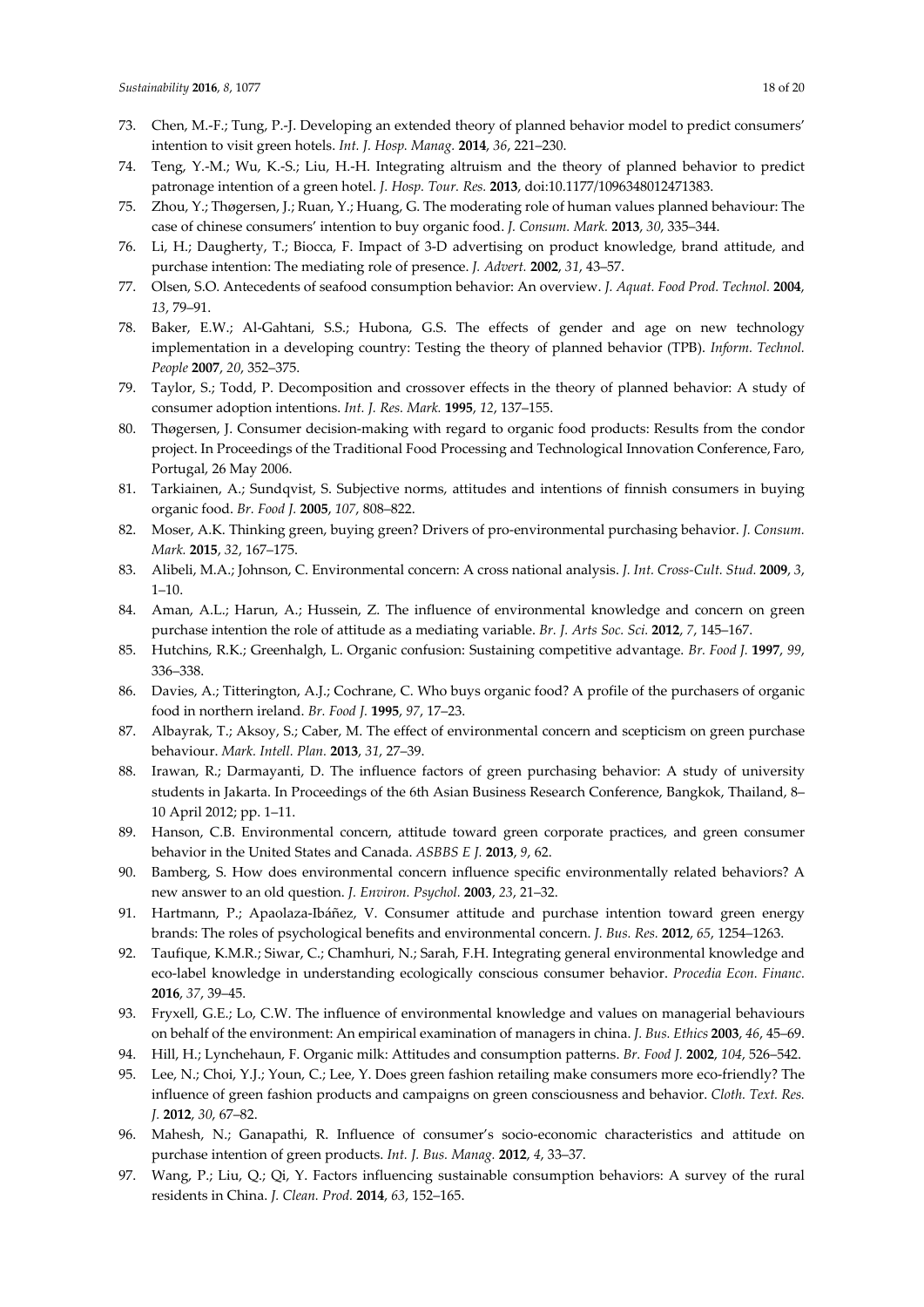- 73. Chen, M.-F.; Tung, P.-J. Developing an extended theory of planned behavior model to predict consumers' intention to visit green hotels. *Int. J. Hosp. Manag.* **2014**, *36*, 221–230.
- 74. Teng, Y.-M.; Wu, K.-S.; Liu, H.-H. Integrating altruism and the theory of planned behavior to predict patronage intention of a green hotel. *J. Hosp. Tour. Res.* **2013**, doi:10.1177/1096348012471383.
- 75. Zhou, Y.; Thøgersen, J.; Ruan, Y.; Huang, G. The moderating role of human values planned behaviour: The case of chinese consumers' intention to buy organic food. *J. Consum. Mark.* **2013**, *30*, 335–344.
- 76. Li, H.; Daugherty, T.; Biocca, F. Impact of 3-D advertising on product knowledge, brand attitude, and purchase intention: The mediating role of presence. *J. Advert.* **2002**, *31*, 43–57.
- 77. Olsen, S.O. Antecedents of seafood consumption behavior: An overview. *J. Aquat. Food Prod. Technol.* **2004**, *13*, 79–91.
- 78. Baker, E.W.; Al-Gahtani, S.S.; Hubona, G.S. The effects of gender and age on new technology implementation in a developing country: Testing the theory of planned behavior (TPB). *Inform. Technol. People* **2007**, *20*, 352–375.
- 79. Taylor, S.; Todd, P. Decomposition and crossover effects in the theory of planned behavior: A study of consumer adoption intentions. *Int. J. Res. Mark.* **1995**, *12*, 137–155.
- 80. Thøgersen, J. Consumer decision-making with regard to organic food products: Results from the condor project. In Proceedings of the Traditional Food Processing and Technological Innovation Conference, Faro, Portugal, 26 May 2006.
- 81. Tarkiainen, A.; Sundqvist, S. Subjective norms, attitudes and intentions of finnish consumers in buying organic food. *Br. Food J.* **2005**, *107*, 808–822.
- 82. Moser, A.K. Thinking green, buying green? Drivers of pro-environmental purchasing behavior. *J. Consum. Mark.* **2015**, *32*, 167–175.
- 83. Alibeli, M.A.; Johnson, C. Environmental concern: A cross national analysis. *J. Int. Cross-Cult. Stud.* **2009**, *3*,  $1 - 10$
- 84. Aman, A.L.; Harun, A.; Hussein, Z. The influence of environmental knowledge and concern on green purchase intention the role of attitude as a mediating variable. *Br. J. Arts Soc. Sci.* **2012**, *7*, 145–167.
- 85. Hutchins, R.K.; Greenhalgh, L. Organic confusion: Sustaining competitive advantage. *Br. Food J.* **1997**, *99*, 336–338.
- 86. Davies, A.; Titterington, A.J.; Cochrane, C. Who buys organic food? A profile of the purchasers of organic food in northern ireland. *Br. Food J.* **1995**, *97*, 17–23.
- 87. Albayrak, T.; Aksoy, S.; Caber, M. The effect of environmental concern and scepticism on green purchase behaviour. *Mark. Intell. Plan.* **2013**, *31*, 27–39.
- 88. Irawan, R.; Darmayanti, D. The influence factors of green purchasing behavior: A study of university students in Jakarta. In Proceedings of the 6th Asian Business Research Conference, Bangkok, Thailand, 8– 10 April 2012; pp. 1–11.
- 89. Hanson, C.B. Environmental concern, attitude toward green corporate practices, and green consumer behavior in the United States and Canada. *ASBBS E J.* **2013**, *9*, 62.
- 90. Bamberg, S. How does environmental concern influence specific environmentally related behaviors? A new answer to an old question. *J. Environ. Psychol.* **2003**, *23*, 21–32.
- 91. Hartmann, P.; Apaolaza-Ibáñez, V. Consumer attitude and purchase intention toward green energy brands: The roles of psychological benefits and environmental concern. *J. Bus. Res.* **2012**, *65*, 1254–1263.
- 92. Taufique, K.M.R.; Siwar, C.; Chamhuri, N.; Sarah, F.H. Integrating general environmental knowledge and eco-label knowledge in understanding ecologically conscious consumer behavior. *Procedia Econ. Financ.*  **2016**, *37*, 39–45.
- 93. Fryxell, G.E.; Lo, C.W. The influence of environmental knowledge and values on managerial behaviours on behalf of the environment: An empirical examination of managers in china. *J. Bus. Ethics* **2003**, *46*, 45–69.
- 94. Hill, H.; Lynchehaun, F. Organic milk: Attitudes and consumption patterns. *Br. Food J.* **2002**, *104*, 526–542.
- 95. Lee, N.; Choi, Y.J.; Youn, C.; Lee, Y. Does green fashion retailing make consumers more eco-friendly? The influence of green fashion products and campaigns on green consciousness and behavior. *Cloth. Text. Res. J.* **2012**, *30*, 67–82.
- 96. Mahesh, N.; Ganapathi, R. Influence of consumer's socio-economic characteristics and attitude on purchase intention of green products. *Int. J. Bus. Manag.* **2012**, *4*, 33–37.
- 97. Wang, P.; Liu, Q.; Qi, Y. Factors influencing sustainable consumption behaviors: A survey of the rural residents in China. *J. Clean. Prod.* **2014**, *63*, 152–165.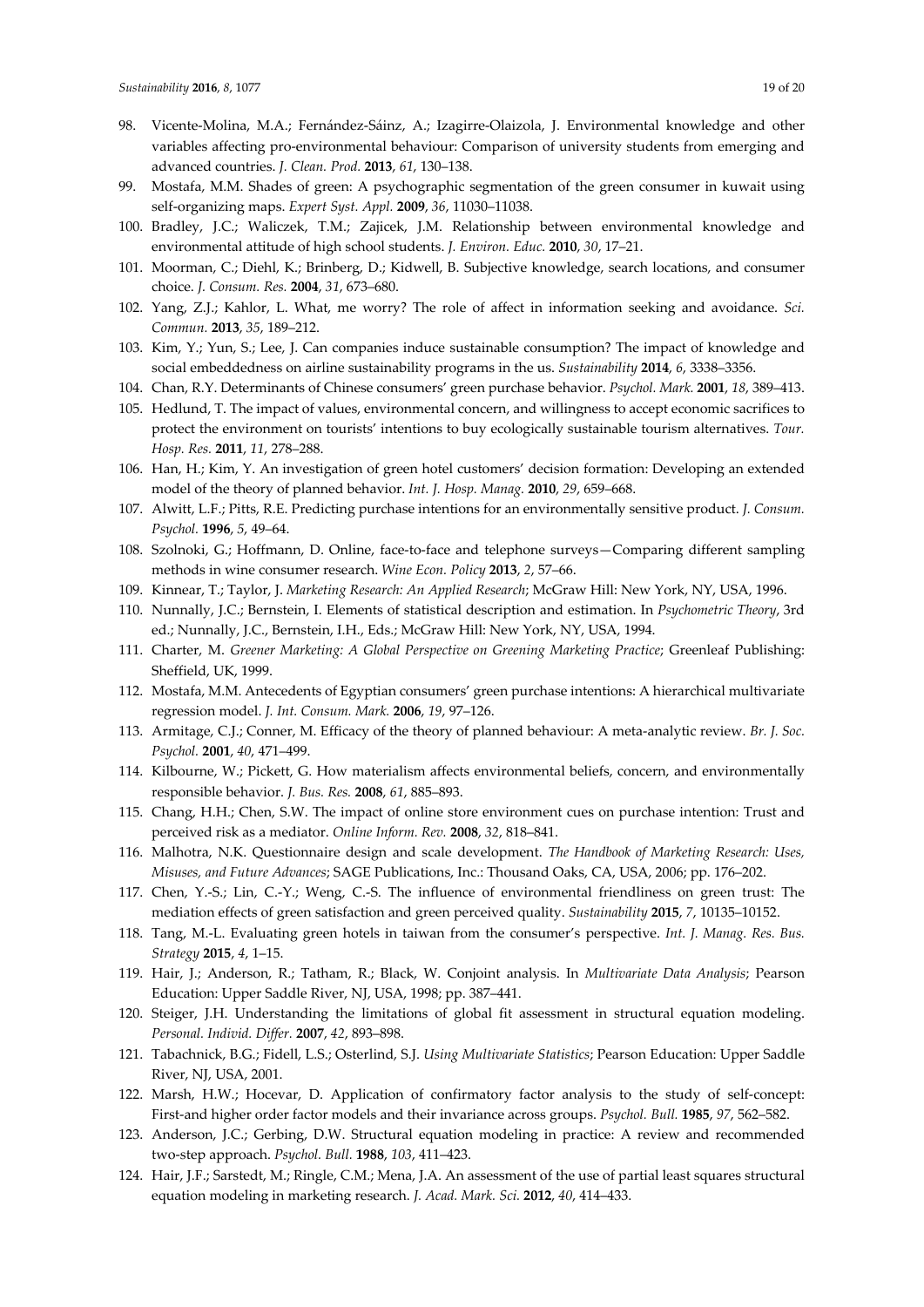- 98. Vicente-Molina, M.A.; Fernández-Sáinz, A.; Izagirre-Olaizola, J. Environmental knowledge and other variables affecting pro-environmental behaviour: Comparison of university students from emerging and advanced countries. *J. Clean. Prod.* **2013**, *61*, 130–138.
- 99. Mostafa, M.M. Shades of green: A psychographic segmentation of the green consumer in kuwait using self-organizing maps. *Expert Syst. Appl.* **2009**, *36*, 11030–11038.
- 100. Bradley, J.C.; Waliczek, T.M.; Zajicek, J.M. Relationship between environmental knowledge and environmental attitude of high school students. *J. Environ. Educ.* **2010**, *30*, 17–21.
- 101. Moorman, C.; Diehl, K.; Brinberg, D.; Kidwell, B. Subjective knowledge, search locations, and consumer choice. *J. Consum. Res.* **2004**, *31*, 673–680.
- 102. Yang, Z.J.; Kahlor, L. What, me worry? The role of affect in information seeking and avoidance. *Sci. Commun.* **2013**, *35*, 189–212.
- 103. Kim, Y.; Yun, S.; Lee, J. Can companies induce sustainable consumption? The impact of knowledge and social embeddedness on airline sustainability programs in the us. *Sustainability* **2014**, *6*, 3338–3356.
- 104. Chan, R.Y. Determinants of Chinese consumers' green purchase behavior. *Psychol. Mark.* **2001**, *18*, 389–413.
- 105. Hedlund, T. The impact of values, environmental concern, and willingness to accept economic sacrifices to protect the environment on tourists' intentions to buy ecologically sustainable tourism alternatives. *Tour. Hosp. Res.* **2011**, *11*, 278–288.
- 106. Han, H.; Kim, Y. An investigation of green hotel customers' decision formation: Developing an extended model of the theory of planned behavior. *Int. J. Hosp. Manag.* **2010**, *29*, 659–668.
- 107. Alwitt, L.F.; Pitts, R.E. Predicting purchase intentions for an environmentally sensitive product. *J. Consum. Psychol.* **1996**, *5*, 49–64.
- 108. Szolnoki, G.; Hoffmann, D. Online, face-to-face and telephone surveys—Comparing different sampling methods in wine consumer research. *Wine Econ. Policy* **2013**, *2*, 57–66.
- 109. Kinnear, T.; Taylor, J. *Marketing Research: An Applied Research*; McGraw Hill: New York, NY, USA, 1996.
- 110. Nunnally, J.C.; Bernstein, I. Elements of statistical description and estimation. In *Psychometric Theory*, 3rd ed.; Nunnally, J.C., Bernstein, I.H., Eds.; McGraw Hill: New York, NY, USA, 1994.
- 111. Charter, M. *Greener Marketing: A Global Perspective on Greening Marketing Practice*; Greenleaf Publishing: Sheffield, UK, 1999.
- 112. Mostafa, M.M. Antecedents of Egyptian consumers' green purchase intentions: A hierarchical multivariate regression model. *J. Int. Consum. Mark.* **2006**, *19*, 97–126.
- 113. Armitage, C.J.; Conner, M. Efficacy of the theory of planned behaviour: A meta-analytic review. *Br. J. Soc. Psychol.* **2001**, *40*, 471–499.
- 114. Kilbourne, W.; Pickett, G. How materialism affects environmental beliefs, concern, and environmentally responsible behavior. *J. Bus. Res.* **2008**, *61*, 885–893.
- 115. Chang, H.H.; Chen, S.W. The impact of online store environment cues on purchase intention: Trust and perceived risk as a mediator. *Online Inform. Rev.* **2008**, *32*, 818–841.
- 116. Malhotra, N.K. Questionnaire design and scale development. *The Handbook of Marketing Research: Uses, Misuses, and Future Advances*; SAGE Publications, Inc.: Thousand Oaks, CA, USA, 2006; pp. 176–202.
- 117. Chen, Y.-S.; Lin, C.-Y.; Weng, C.-S. The influence of environmental friendliness on green trust: The mediation effects of green satisfaction and green perceived quality. *Sustainability* **2015**, *7*, 10135–10152.
- 118. Tang, M.-L. Evaluating green hotels in taiwan from the consumer's perspective. *Int. J. Manag. Res. Bus. Strategy* **2015**, *4*, 1–15.
- 119. Hair, J.; Anderson, R.; Tatham, R.; Black, W. Conjoint analysis. In *Multivariate Data Analysis*; Pearson Education: Upper Saddle River, NJ, USA, 1998; pp. 387–441.
- 120. Steiger, J.H. Understanding the limitations of global fit assessment in structural equation modeling. *Personal. Individ. Differ.* **2007**, *42*, 893–898.
- 121. Tabachnick, B.G.; Fidell, L.S.; Osterlind, S.J. *Using Multivariate Statistics*; Pearson Education: Upper Saddle River, NJ, USA, 2001.
- 122. Marsh, H.W.; Hocevar, D. Application of confirmatory factor analysis to the study of self-concept: First-and higher order factor models and their invariance across groups. *Psychol. Bull.* **1985**, *97*, 562–582.
- 123. Anderson, J.C.; Gerbing, D.W. Structural equation modeling in practice: A review and recommended two-step approach. *Psychol. Bull.* **1988**, *103*, 411–423.
- 124. Hair, J.F.; Sarstedt, M.; Ringle, C.M.; Mena, J.A. An assessment of the use of partial least squares structural equation modeling in marketing research. *J. Acad. Mark. Sci.* **2012**, *40*, 414–433.